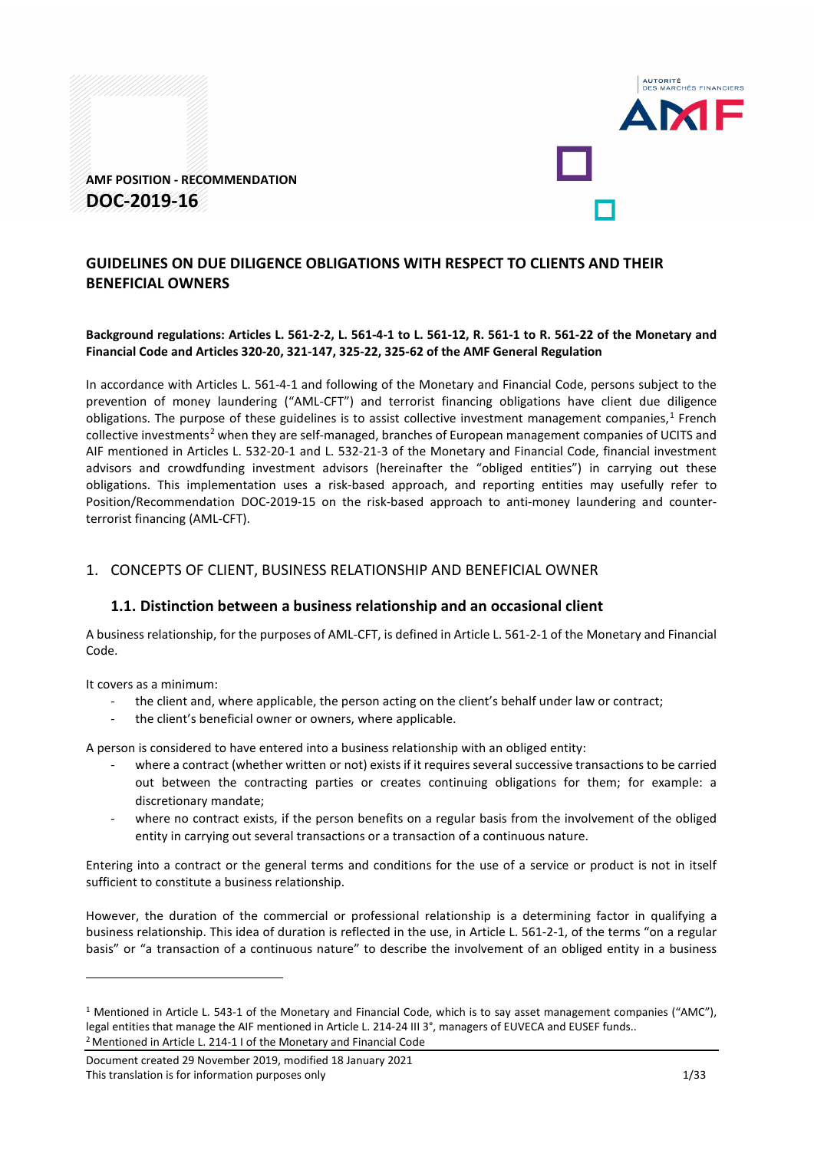



# **GUIDELINES ON DUE DILIGENCE OBLIGATIONS WITH RESPECT TO CLIENTS AND THEIR BENEFICIAL OWNERS**

# **Background regulations: Articles L. 561-2-2, L. 561-4-1 to L. 561-12, R. 561-1 to R. 561-22 of the Monetary and Financial Code and Articles 320-20, 321-147, 325-22, 325-62 of the AMF General Regulation**

In accordance with Articles L. 561-4-1 and following of the Monetary and Financial Code, persons subject to the prevention of money laundering ("AML-CFT") and terrorist financing obligations have client due diligence obligations. The purpose of these guidelines is to assist collective investment management companies, $1$  French collective investments<sup>[2](#page-0-1)</sup> when they are self-managed, branches of European management companies of UCITS and AIF mentioned in Articles L. 532-20-1 and L. 532-21-3 of the Monetary and Financial Code, financial investment advisors and crowdfunding investment advisors (hereinafter the "obliged entities") in carrying out these obligations. This implementation uses a risk-based approach, and reporting entities may usefully refer to Position/Recommendation DOC-2019-15 on the risk-based approach to anti-money laundering and counterterrorist financing (AML-CFT).

# 1. CONCEPTS OF CLIENT, BUSINESS RELATIONSHIP AND BENEFICIAL OWNER

# **1.1. Distinction between a business relationship and an occasional client**

A business relationship, for the purposes of AML-CFT, is defined in Article L. 561-2-1 of the Monetary and Financial Code.

It covers as a minimum:

-

- the client and, where applicable, the person acting on the client's behalf under law or contract;
- the client's beneficial owner or owners, where applicable.

A person is considered to have entered into a business relationship with an obliged entity:

- where a contract (whether written or not) exists if it requires several successive transactions to be carried out between the contracting parties or creates continuing obligations for them; for example: a discretionary mandate;
- where no contract exists, if the person benefits on a regular basis from the involvement of the obliged entity in carrying out several transactions or a transaction of a continuous nature.

Entering into a contract or the general terms and conditions for the use of a service or product is not in itself sufficient to constitute a business relationship.

However, the duration of the commercial or professional relationship is a determining factor in qualifying a business relationship. This idea of duration is reflected in the use, in Article L. 561-2-1, of the terms "on a regular basis" or "a transaction of a continuous nature" to describe the involvement of an obliged entity in a business

<span id="page-0-0"></span><sup>&</sup>lt;sup>1</sup> Mentioned in Article L. 543-1 of the Monetary and Financial Code, which is to say asset management companies ("AMC"), legal entities that manage the AIF mentioned in Article L. 214-24 III 3°, managers of EUVECA and EUSEF funds.. 2Mentioned in Article L. 214-1 I of the Monetary and Financial Code

<span id="page-0-1"></span>Document created 29 November 2019, modified 18 January 2021 This translation is for information purposes only 1/33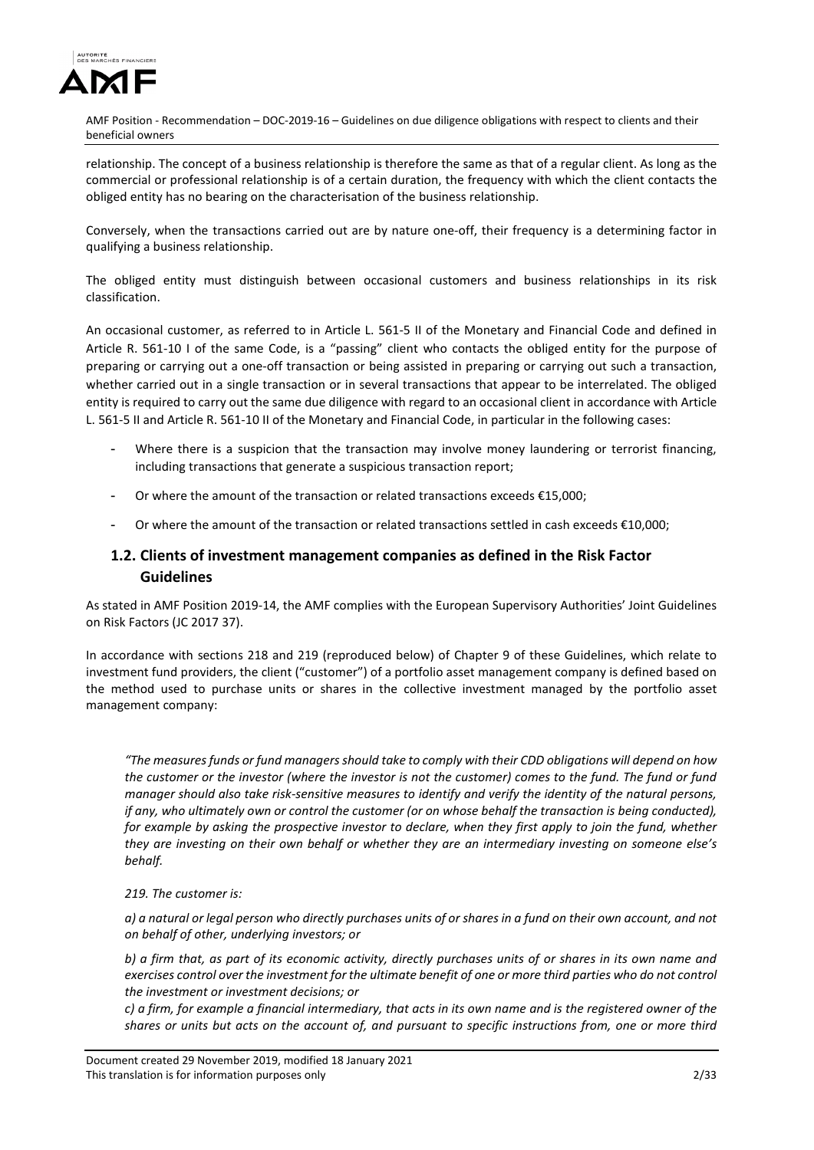

relationship. The concept of a business relationship is therefore the same as that of a regular client. As long as the commercial or professional relationship is of a certain duration, the frequency with which the client contacts the obliged entity has no bearing on the characterisation of the business relationship.

Conversely, when the transactions carried out are by nature one-off, their frequency is a determining factor in qualifying a business relationship.

The obliged entity must distinguish between occasional customers and business relationships in its risk classification.

An occasional customer, as referred to in Article L. 561-5 II of the Monetary and Financial Code and defined in Article R. 561-10 I of the same Code, is a "passing" client who contacts the obliged entity for the purpose of preparing or carrying out a one-off transaction or being assisted in preparing or carrying out such a transaction, whether carried out in a single transaction or in several transactions that appear to be interrelated. The obliged entity is required to carry out the same due diligence with regard to an occasional client in accordance with Article L. 561-5 II and Article R. 561-10 II of the Monetary and Financial Code, in particular in the following cases:

- Where there is a suspicion that the transaction may involve money laundering or terrorist financing, including transactions that generate a suspicious transaction report;
- Or where the amount of the transaction or related transactions exceeds  $£15,000;$
- Or where the amount of the transaction or related transactions settled in cash exceeds €10,000;

# **1.2. Clients of investment management companies as defined in the Risk Factor Guidelines**

As stated in AMF Position 2019-14, the AMF complies with the European Supervisory Authorities' Joint Guidelines on Risk Factors (JC 2017 37).

In accordance with sections 218 and 219 (reproduced below) of Chapter 9 of these Guidelines, which relate to investment fund providers, the client ("customer") of a portfolio asset management company is defined based on the method used to purchase units or shares in the collective investment managed by the portfolio asset management company:

*"The measures funds or fund managers should take to comply with their CDD obligations will depend on how the customer or the investor (where the investor is not the customer) comes to the fund. The fund or fund manager should also take risk-sensitive measures to identify and verify the identity of the natural persons, if any, who ultimately own or control the customer (or on whose behalf the transaction is being conducted), for example by asking the prospective investor to declare, when they first apply to join the fund, whether they are investing on their own behalf or whether they are an intermediary investing on someone else's behalf.* 

## *219. The customer is:*

*a) a natural or legal person who directly purchases units of or shares in a fund on their own account, and not on behalf of other, underlying investors; or*

*b) a firm that, as part of its economic activity, directly purchases units of or shares in its own name and exercises control over the investment for the ultimate benefit of one or more third parties who do not control the investment or investment decisions; or* 

*c) a firm, for example a financial intermediary, that acts in its own name and is the registered owner of the shares or units but acts on the account of, and pursuant to specific instructions from, one or more third*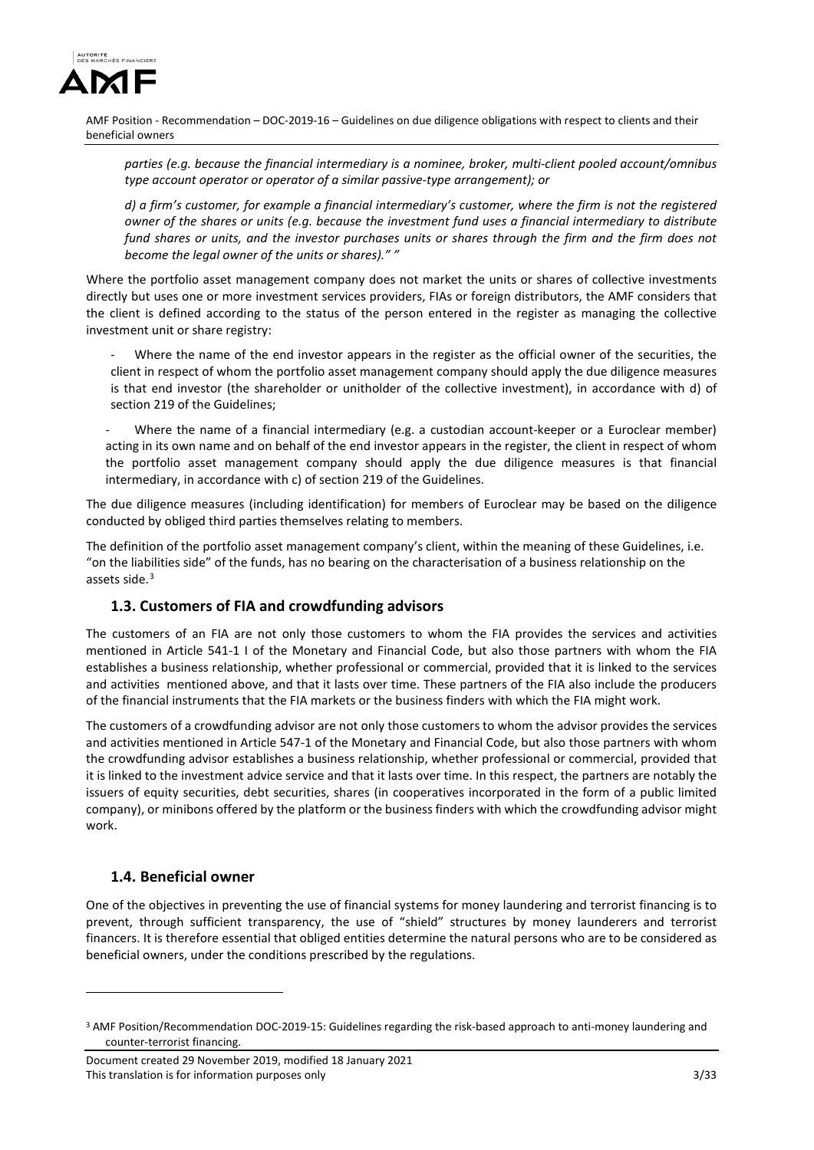

*parties (e.g. because the financial intermediary is a nominee, broker, multi-client pooled account/omnibus type account operator or operator of a similar passive-type arrangement); or* 

*d) a firm's customer, for example a financial intermediary's customer, where the firm is not the registered owner of the shares or units (e.g. because the investment fund uses a financial intermediary to distribute fund shares or units, and the investor purchases units or shares through the firm and the firm does not become the legal owner of the units or shares)." "* 

Where the portfolio asset management company does not market the units or shares of collective investments directly but uses one or more investment services providers, FIAs or foreign distributors, the AMF considers that the client is defined according to the status of the person entered in the register as managing the collective investment unit or share registry:

Where the name of the end investor appears in the register as the official owner of the securities, the client in respect of whom the portfolio asset management company should apply the due diligence measures is that end investor (the shareholder or unitholder of the collective investment), in accordance with d) of section 219 of the Guidelines;

Where the name of a financial intermediary (e.g. a custodian account-keeper or a Euroclear member) acting in its own name and on behalf of the end investor appears in the register, the client in respect of whom the portfolio asset management company should apply the due diligence measures is that financial intermediary, in accordance with c) of section 219 of the Guidelines.

The due diligence measures (including identification) for members of Euroclear may be based on the diligence conducted by obliged third parties themselves relating to members.

The definition of the portfolio asset management company's client, within the meaning of these Guidelines, i.e. "on the liabilities side" of the funds, has no bearing on the characterisation of a business relationship on the assets side. $3$ 

# **1.3. Customers of FIA and crowdfunding advisors**

The customers of an FIA are not only those customers to whom the FIA provides the services and activities mentioned in Article 541-1 I of the Monetary and Financial Code, but also those partners with whom the FIA establishes a business relationship, whether professional or commercial, provided that it is linked to the services and activities mentioned above, and that it lasts over time. These partners of the FIA also include the producers of the financial instruments that the FIA markets or the business finders with which the FIA might work.

The customers of a crowdfunding advisor are not only those customers to whom the advisor provides the services and activities mentioned in Article 547-1 of the Monetary and Financial Code, but also those partners with whom the crowdfunding advisor establishes a business relationship, whether professional or commercial, provided that it is linked to the investment advice service and that it lasts over time. In this respect, the partners are notably the issuers of equity securities, debt securities, shares (in cooperatives incorporated in the form of a public limited company), or minibons offered by the platform or the business finders with which the crowdfunding advisor might work.

# **1.4. Beneficial owner**

<u>.</u>

One of the objectives in preventing the use of financial systems for money laundering and terrorist financing is to prevent, through sufficient transparency, the use of "shield" structures by money launderers and terrorist financers. It is therefore essential that obliged entities determine the natural persons who are to be considered as beneficial owners, under the conditions prescribed by the regulations.

<span id="page-2-0"></span><sup>3</sup> AMF Position/Recommendation DOC-2019-15: Guidelines regarding the risk-based approach to anti-money laundering and counter-terrorist financing.

Document created 29 November 2019, modified 18 January 2021 This translation is for information purposes only 3/33 333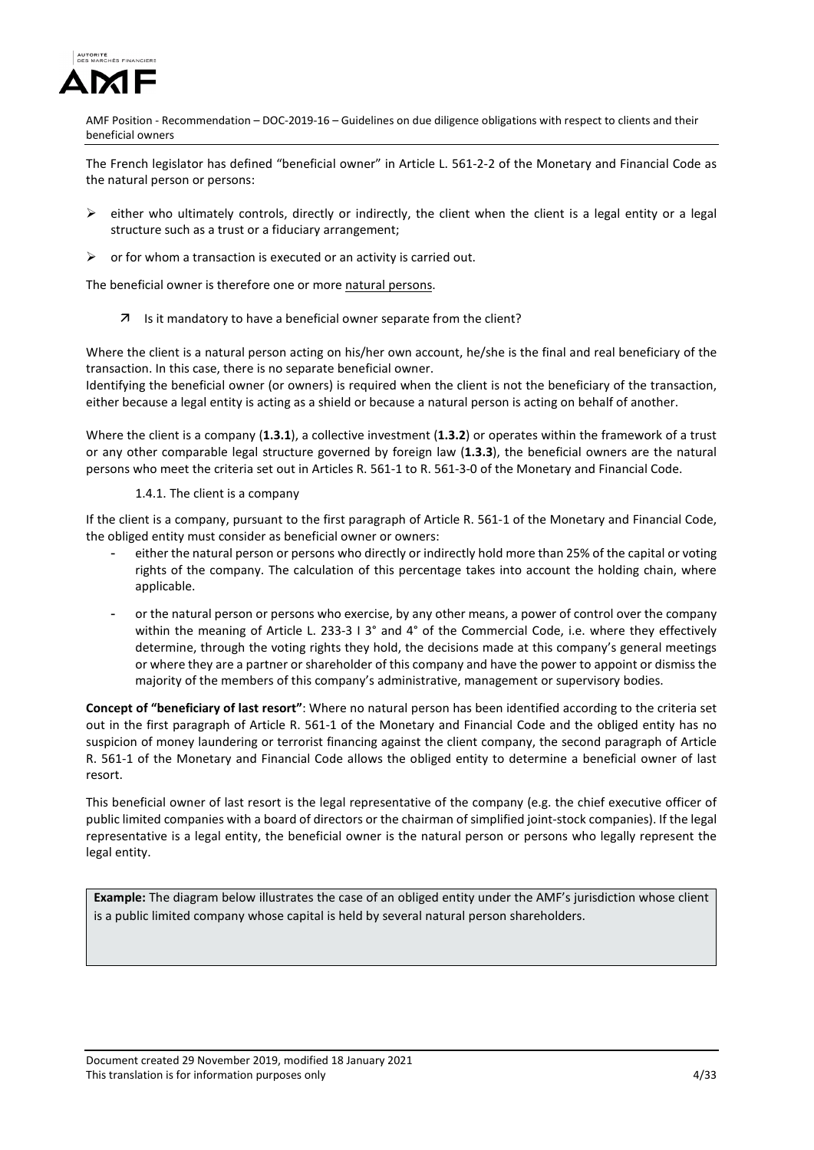

The French legislator has defined "beneficial owner" in Article L. 561-2-2 of the Monetary and Financial Code as the natural person or persons:

- $\triangleright$  either who ultimately controls, directly or indirectly, the client when the client is a legal entity or a legal structure such as a trust or a fiduciary arrangement;
- $\triangleright$  or for whom a transaction is executed or an activity is carried out.

The beneficial owner is therefore one or more natural persons.

7 Is it mandatory to have a beneficial owner separate from the client?

Where the client is a natural person acting on his/her own account, he/she is the final and real beneficiary of the transaction. In this case, there is no separate beneficial owner.

Identifying the beneficial owner (or owners) is required when the client is not the beneficiary of the transaction, either because a legal entity is acting as a shield or because a natural person is acting on behalf of another.

Where the client is a company (**1.3.1**), a collective investment (**1.3.2**) or operates within the framework of a trust or any other comparable legal structure governed by foreign law (**1.3.3**), the beneficial owners are the natural persons who meet the criteria set out in Articles R. 561-1 to R. 561-3-0 of the Monetary and Financial Code.

#### 1.4.1. The client is a company

If the client is a company, pursuant to the first paragraph of Article R. 561-1 of the Monetary and Financial Code, the obliged entity must consider as beneficial owner or owners:

- either the natural person or persons who directly or indirectly hold more than 25% of the capital or voting rights of the company. The calculation of this percentage takes into account the holding chain, where applicable.
- or the natural person or persons who exercise, by any other means, a power of control over the company within the meaning of Article L. 233-3 I 3° and 4° of the Commercial Code, i.e. where they effectively determine, through the voting rights they hold, the decisions made at this company's general meetings or where they are a partner or shareholder of this company and have the power to appoint or dismiss the majority of the members of this company's administrative, management or supervisory bodies.

**Concept of "beneficiary of last resort"**: Where no natural person has been identified according to the criteria set out in the first paragraph of Article R. 561-1 of the Monetary and Financial Code and the obliged entity has no suspicion of money laundering or terrorist financing against the client company, the second paragraph of Article R. 561-1 of the Monetary and Financial Code allows the obliged entity to determine a beneficial owner of last resort.

This beneficial owner of last resort is the legal representative of the company (e.g. the chief executive officer of public limited companies with a board of directors or the chairman of simplified joint-stock companies). If the legal representative is a legal entity, the beneficial owner is the natural person or persons who legally represent the legal entity.

**Example:** The diagram below illustrates the case of an obliged entity under the AMF's jurisdiction whose client is a public limited company whose capital is held by several natural person shareholders.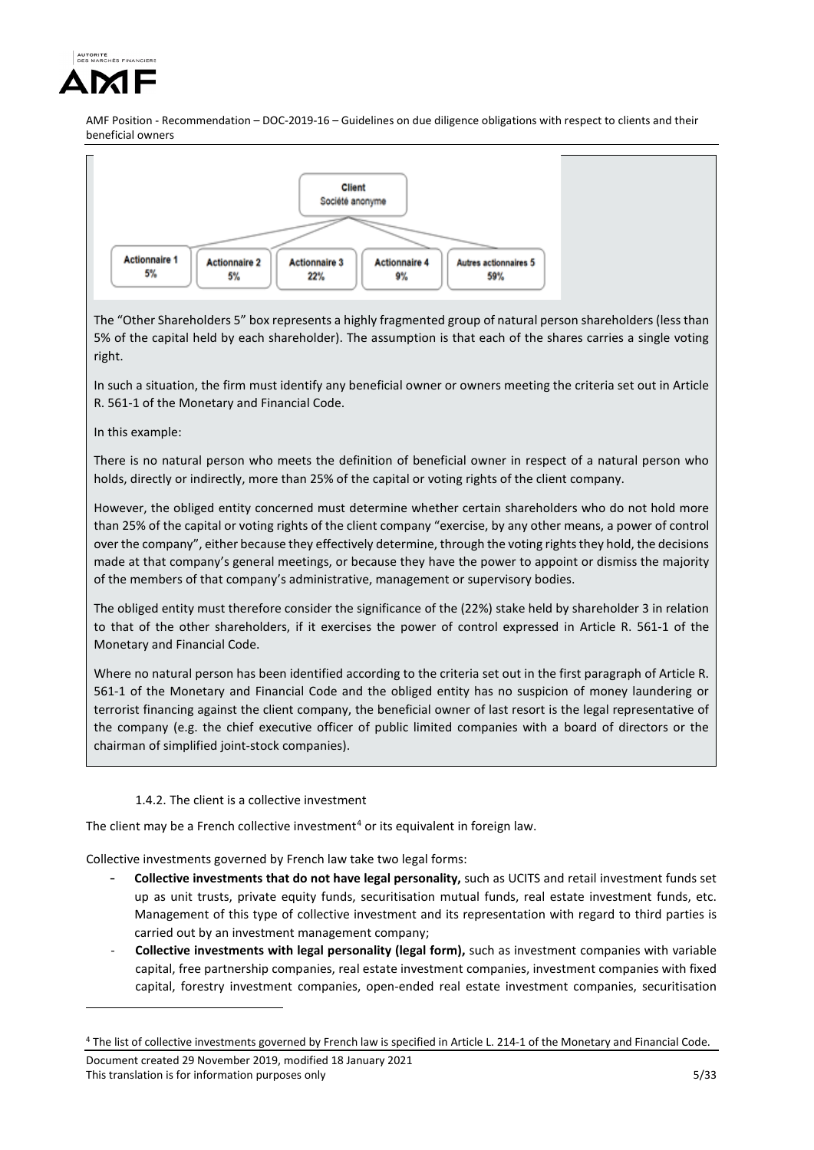



The "Other Shareholders 5" box represents a highly fragmented group of natural person shareholders (less than 5% of the capital held by each shareholder). The assumption is that each of the shares carries a single voting right.

In such a situation, the firm must identify any beneficial owner or owners meeting the criteria set out in Article R. 561-1 of the Monetary and Financial Code.

In this example:

<u>.</u>

There is no natural person who meets the definition of beneficial owner in respect of a natural person who holds, directly or indirectly, more than 25% of the capital or voting rights of the client company.

However, the obliged entity concerned must determine whether certain shareholders who do not hold more than 25% of the capital or voting rights of the client company "exercise, by any other means, a power of control over the company", either because they effectively determine, through the voting rights they hold, the decisions made at that company's general meetings, or because they have the power to appoint or dismiss the majority of the members of that company's administrative, management or supervisory bodies.

The obliged entity must therefore consider the significance of the (22%) stake held by shareholder 3 in relation to that of the other shareholders, if it exercises the power of control expressed in Article R. 561-1 of the Monetary and Financial Code.

Where no natural person has been identified according to the criteria set out in the first paragraph of Article R. 561-1 of the Monetary and Financial Code and the obliged entity has no suspicion of money laundering or terrorist financing against the client company, the beneficial owner of last resort is the legal representative of the company (e.g. the chief executive officer of public limited companies with a board of directors or the chairman of simplified joint-stock companies).

# 1.4.2. The client is a collective investment

The client may be a French collective investment<sup>[4](#page-4-0)</sup> or its equivalent in foreign law.

Collective investments governed by French law take two legal forms:

- **Collective investments that do not have legal personality,** such as UCITS and retail investment funds set up as unit trusts, private equity funds, securitisation mutual funds, real estate investment funds, etc. Management of this type of collective investment and its representation with regard to third parties is carried out by an investment management company;
- **Collective investments with legal personality (legal form),** such as investment companies with variable capital, free partnership companies, real estate investment companies, investment companies with fixed capital, forestry investment companies, open-ended real estate investment companies, securitisation

<span id="page-4-0"></span><sup>4</sup> The list of collective investments governed by French law is specified in Article L. 214-1 of the Monetary and Financial Code.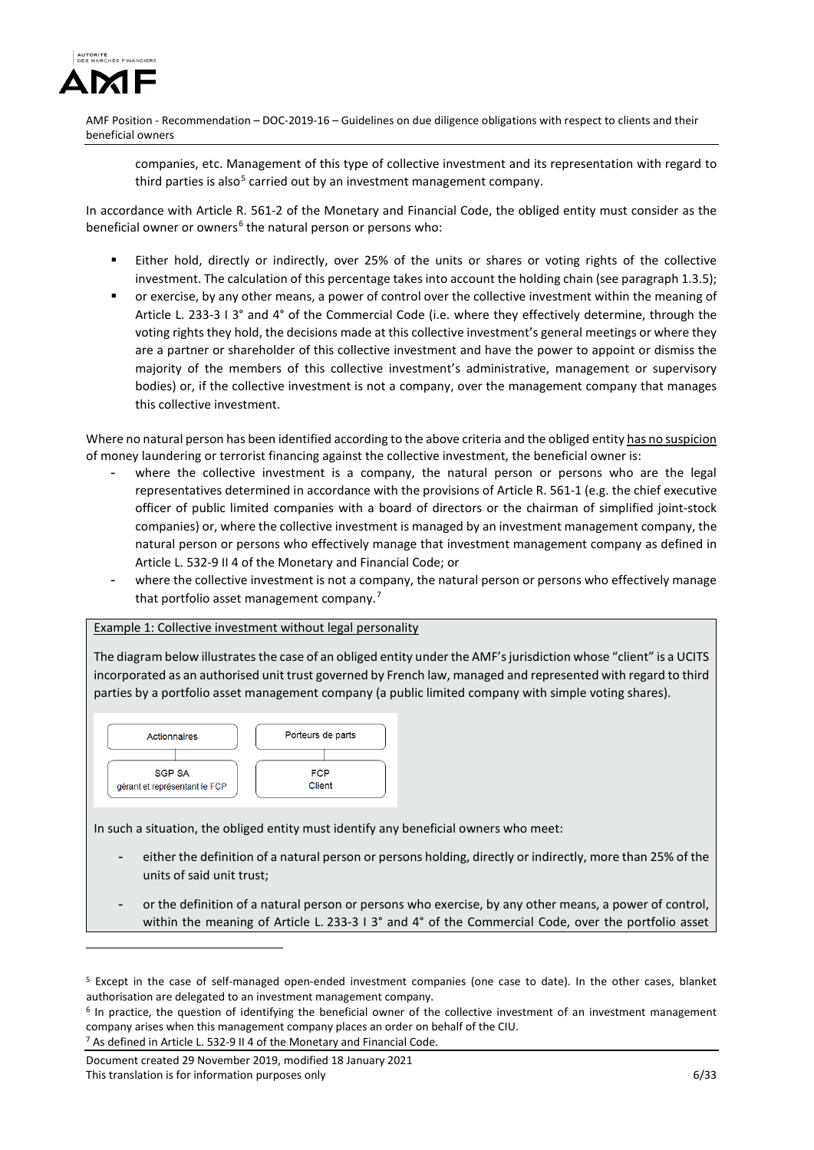

companies, etc. Management of this type of collective investment and its representation with regard to third parties is also<sup>[5](#page-5-0)</sup> carried out by an investment management company.

In accordance with Article R. 561-2 of the Monetary and Financial Code, the obliged entity must consider as the beneficial owner or owners<sup>[6](#page-5-1)</sup> the natural person or persons who:

- Either hold, directly or indirectly, over 25% of the units or shares or voting rights of the collective investment. The calculation of this percentage takes into account the holding chain (see paragraph 1.3.5);
- or exercise, by any other means, a power of control over the collective investment within the meaning of Article L. 233-3 I 3° and 4° of the Commercial Code (i.e. where they effectively determine, through the voting rights they hold, the decisions made at this collective investment's general meetings or where they are a partner or shareholder of this collective investment and have the power to appoint or dismiss the majority of the members of this collective investment's administrative, management or supervisory bodies) or, if the collective investment is not a company, over the management company that manages this collective investment.

Where no natural person has been identified according to the above criteria and the obliged entity has no suspicion of money laundering or terrorist financing against the collective investment, the beneficial owner is:

- where the collective investment is a company, the natural person or persons who are the legal representatives determined in accordance with the provisions of Article R. 561-1 (e.g. the chief executive officer of public limited companies with a board of directors or the chairman of simplified joint-stock companies) or, where the collective investment is managed by an investment management company, the natural person or persons who effectively manage that investment management company as defined in Article L. 532-9 II 4 of the Monetary and Financial Code; or
- where the collective investment is not a company, the natural person or persons who effectively manage that portfolio asset management company.[7](#page-5-2)

#### Example 1: Collective investment without legal personality

The diagram below illustrates the case of an obliged entity under the AMF's jurisdiction whose "client" is a UCITS incorporated as an authorised unit trust governed by French law, managed and represented with regard to third parties by a portfolio asset management company (a public limited company with simple voting shares).



In such a situation, the obliged entity must identify any beneficial owners who meet:

- either the definition of a natural person or persons holding, directly or indirectly, more than 25% of the units of said unit trust;
- or the definition of a natural person or persons who exercise, by any other means, a power of control, within the meaning of Article L. 233-3 I 3° and 4° of the Commercial Code, over the portfolio asset

<span id="page-5-2"></span>Document created 29 November 2019, modified 18 January 2021 This translation is for information purposes only **6/33** and the set of the set of the set of the set of the set of the set of the set of the set of the set of the set of the set of the set of the set of the set of the set

<u>.</u>

<span id="page-5-0"></span><sup>5</sup> Except in the case of self-managed open-ended investment companies (one case to date). In the other cases, blanket authorisation are delegated to an investment management company.

<span id="page-5-1"></span> $6$  In practice, the question of identifying the beneficial owner of the collective investment of an investment management company arises when this management company places an order on behalf of the CIU. <sup>7</sup> As defined in Article L. 532-9 II 4 of the Monetary and Financial Code.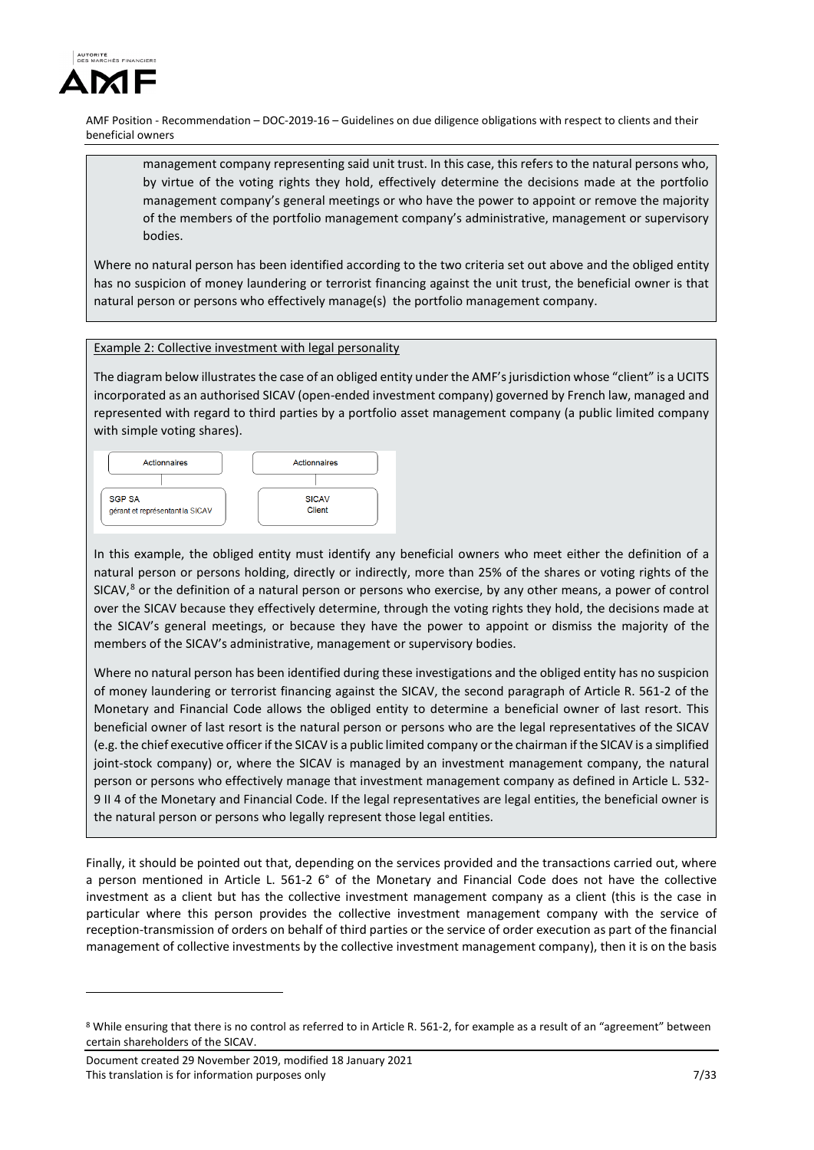

management company representing said unit trust. In this case, this refers to the natural persons who, by virtue of the voting rights they hold, effectively determine the decisions made at the portfolio management company's general meetings or who have the power to appoint or remove the majority of the members of the portfolio management company's administrative, management or supervisory bodies.

Where no natural person has been identified according to the two criteria set out above and the obliged entity has no suspicion of money laundering or terrorist financing against the unit trust, the beneficial owner is that natural person or persons who effectively manage(s) the portfolio management company.

## Example 2: Collective investment with legal personality

The diagram below illustrates the case of an obliged entity under the AMF's jurisdiction whose "client" is a UCITS incorporated as an authorised SICAV (open-ended investment company) governed by French law, managed and represented with regard to third parties by a portfolio asset management company (a public limited company with simple voting shares).



In this example, the obliged entity must identify any beneficial owners who meet either the definition of a natural person or persons holding, directly or indirectly, more than 25% of the shares or voting rights of the SICAV,[8](#page-6-0) or the definition of a natural person or persons who exercise, by any other means, a power of control over the SICAV because they effectively determine, through the voting rights they hold, the decisions made at the SICAV's general meetings, or because they have the power to appoint or dismiss the majority of the members of the SICAV's administrative, management or supervisory bodies.

Where no natural person has been identified during these investigations and the obliged entity has no suspicion of money laundering or terrorist financing against the SICAV, the second paragraph of Article R. 561-2 of the Monetary and Financial Code allows the obliged entity to determine a beneficial owner of last resort. This beneficial owner of last resort is the natural person or persons who are the legal representatives of the SICAV (e.g. the chief executive officer if the SICAV is a public limited company or the chairman if the SICAV is a simplified joint-stock company) or, where the SICAV is managed by an investment management company, the natural person or persons who effectively manage that investment management company as defined in Article L. 532- 9 II 4 of the Monetary and Financial Code. If the legal representatives are legal entities, the beneficial owner is the natural person or persons who legally represent those legal entities.

Finally, it should be pointed out that, depending on the services provided and the transactions carried out, where a person mentioned in Article L. 561-2 6° of the Monetary and Financial Code does not have the collective investment as a client but has the collective investment management company as a client (this is the case in particular where this person provides the collective investment management company with the service of reception-transmission of orders on behalf of third parties or the service of order execution as part of the financial management of collective investments by the collective investment management company), then it is on the basis

<u>.</u>

<span id="page-6-0"></span><sup>8</sup> While ensuring that there is no control as referred to in Article R. 561-2, for example as a result of an "agreement" between certain shareholders of the SICAV.

Document created 29 November 2019, modified 18 January 2021 This translation is for information purposes only 7/33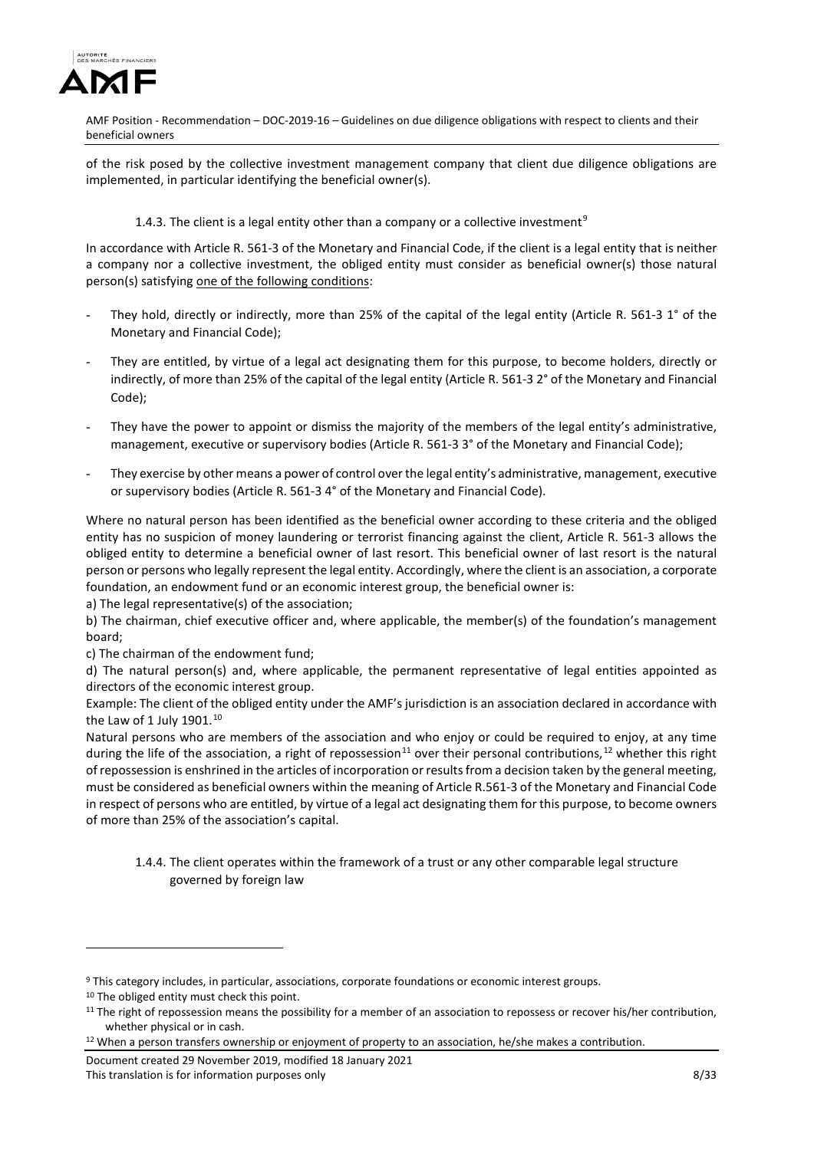

of the risk posed by the collective investment management company that client due diligence obligations are implemented, in particular identifying the beneficial owner(s).

## 1.4.3. The client is a legal entity other than a company or a collective investment<sup>[9](#page-7-0)</sup>

In accordance with Article R. 561-3 of the Monetary and Financial Code, if the client is a legal entity that is neither a company nor a collective investment, the obliged entity must consider as beneficial owner(s) those natural person(s) satisfying one of the following conditions:

- They hold, directly or indirectly, more than 25% of the capital of the legal entity (Article R. 561-3 1° of the Monetary and Financial Code);
- They are entitled, by virtue of a legal act designating them for this purpose, to become holders, directly or indirectly, of more than 25% of the capital of the legal entity (Article R. 561-3 2° of the Monetary and Financial Code);
- They have the power to appoint or dismiss the majority of the members of the legal entity's administrative, management, executive or supervisory bodies (Article R. 561-3 3° of the Monetary and Financial Code);
- They exercise by other means a power of control over the legal entity's administrative, management, executive or supervisory bodies (Article R. 561-3 4° of the Monetary and Financial Code).

Where no natural person has been identified as the beneficial owner according to these criteria and the obliged entity has no suspicion of money laundering or terrorist financing against the client, Article R. 561-3 allows the obliged entity to determine a beneficial owner of last resort. This beneficial owner of last resort is the natural person or persons who legally represent the legal entity. Accordingly, where the client is an association, a corporate foundation, an endowment fund or an economic interest group, the beneficial owner is:

a) The legal representative(s) of the association;

b) The chairman, chief executive officer and, where applicable, the member(s) of the foundation's management board;

c) The chairman of the endowment fund;

d) The natural person(s) and, where applicable, the permanent representative of legal entities appointed as directors of the economic interest group.

Example: The client of the obliged entity under the AMF's jurisdiction is an association declared in accordance with the Law of 1 July 1901. $10$ 

Natural persons who are members of the association and who enjoy or could be required to enjoy, at any time during the life of the association, a right of repossession<sup>[11](#page-7-2)</sup> over their personal contributions,<sup>[12](#page-7-3)</sup> whether this right of repossession is enshrined in the articles of incorporation or results from a decision taken by the general meeting, must be considered as beneficial owners within the meaning of Article R.561-3 of the Monetary and Financial Code in respect of persons who are entitled, by virtue of a legal act designating them for this purpose, to become owners of more than 25% of the association's capital.

1.4.4. The client operates within the framework of a trust or any other comparable legal structure governed by foreign law

<u>.</u>

Document created 29 November 2019, modified 18 January 2021 This translation is for information purposes only **EXALL SERVICE SERVICE SERVICE SERVICE SERVICE SERVICE SERVICE S** 

<span id="page-7-0"></span><sup>9</sup> This category includes, in particular, associations, corporate foundations or economic interest groups.

<span id="page-7-1"></span><sup>&</sup>lt;sup>10</sup> The obliged entity must check this point.

<span id="page-7-2"></span> $11$  The right of repossession means the possibility for a member of an association to repossess or recover his/her contribution, whether physical or in cash.<br><sup>12</sup> When a person transfers ownership or enjoyment of property to an association, he/she makes a contribution.

<span id="page-7-3"></span>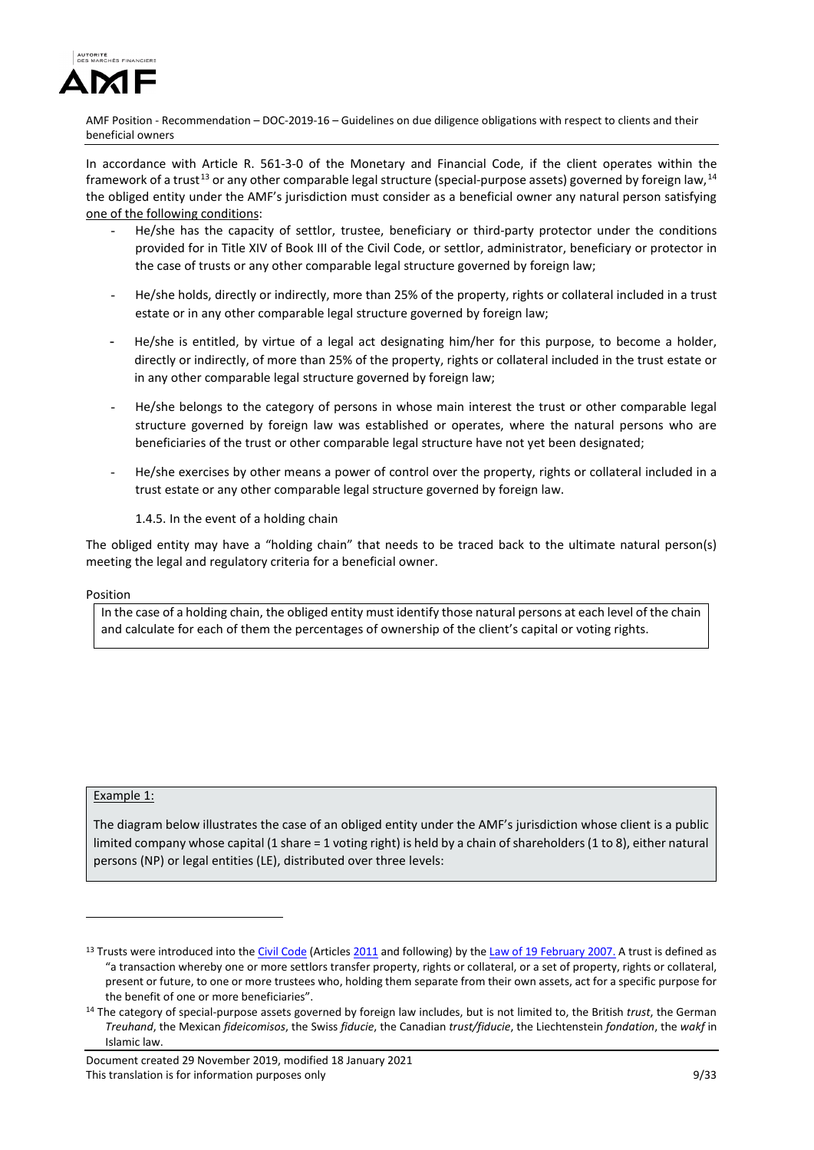

In accordance with Article R. 561-3-0 of the Monetary and Financial Code, if the client operates within the framework of a trust<sup>[13](#page-8-0)</sup> or any other comparable legal structure (special-purpose assets) governed by foreign law,<sup>[14](#page-8-1)</sup> the obliged entity under the AMF's jurisdiction must consider as a beneficial owner any natural person satisfying one of the following conditions:

- He/she has the capacity of settlor, trustee, beneficiary or third-party protector under the conditions provided for in Title XIV of Book III of the Civil Code, or settlor, administrator, beneficiary or protector in the case of trusts or any other comparable legal structure governed by foreign law;
- He/she holds, directly or indirectly, more than 25% of the property, rights or collateral included in a trust estate or in any other comparable legal structure governed by foreign law;
- He/she is entitled, by virtue of a legal act designating him/her for this purpose, to become a holder, directly or indirectly, of more than 25% of the property, rights or collateral included in the trust estate or in any other comparable legal structure governed by foreign law;
- He/she belongs to the category of persons in whose main interest the trust or other comparable legal structure governed by foreign law was established or operates, where the natural persons who are beneficiaries of the trust or other comparable legal structure have not yet been designated;
- He/she exercises by other means a power of control over the property, rights or collateral included in a trust estate or any other comparable legal structure governed by foreign law.
	- 1.4.5. In the event of a holding chain

The obliged entity may have a "holding chain" that needs to be traced back to the ultimate natural person(s) meeting the legal and regulatory criteria for a beneficial owner.

## Position

In the case of a holding chain, the obliged entity must identify those natural persons at each level of the chain and calculate for each of them the percentages of ownership of the client's capital or voting rights.

# Example 1:

-

The diagram below illustrates the case of an obliged entity under the AMF's jurisdiction whose client is a public limited company whose capital (1 share = 1 voting right) is held by a chain of shareholders (1 to 8), either natural persons (NP) or legal entities (LE), distributed over three levels:

<span id="page-8-0"></span><sup>&</sup>lt;sup>13</sup> Trusts were introduced into th[e Civil Code](http://fr.wikipedia.org/wiki/Code_civil_fran%C3%A7ais) (Article[s 2011](http://www.legifrance.gouv.fr/WAspad/UnArticleDeCode?code=CCIVILL0.rcv&art=2011) and following) by th[e Law of 19 February 2007.](http://www.legifrance.gouv.fr/WAspad/UnTexteDeJorf?numjo=JUSX0609640L) A trust is defined as "a transaction whereby one or more settlors transfer property, rights or collateral, or a set of property, rights or collateral, present or future, to one or more trustees who, holding them separate from their own assets, act for a specific purpose for the benefit of one or more beneficiaries".

<span id="page-8-1"></span><sup>14</sup> The category of special-purpose assets governed by foreign law includes, but is not limited to, the British *trust*, the German *Treuhand*, the Mexican *fideicomisos*, the Swiss *fiducie*, the Canadian *trust/fiducie*, the Liechtenstein *fondation*, the *wakf* in Islamic law.

Document created 29 November 2019, modified 18 January 2021 This translation is for information purposes only **1988** Section 2008 12:33 This translation is for information purposes only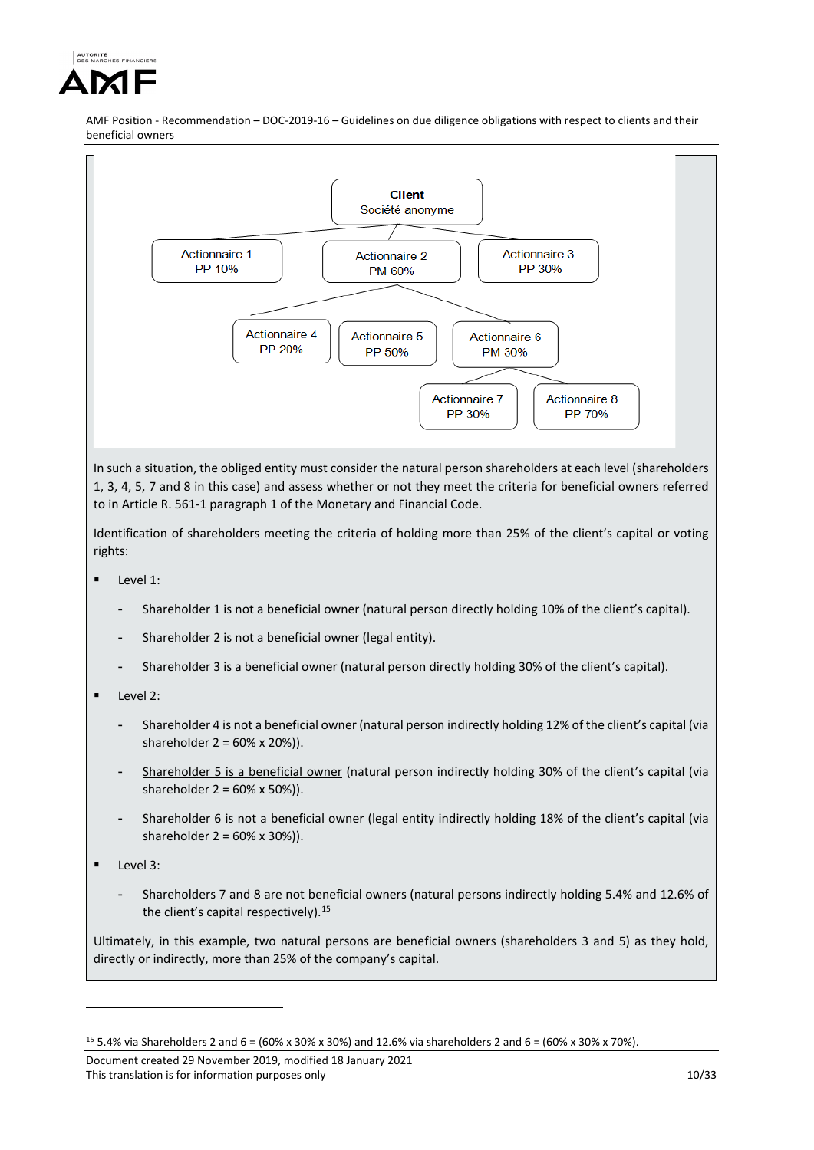



In such a situation, the obliged entity must consider the natural person shareholders at each level (shareholders 1, 3, 4, 5, 7 and 8 in this case) and assess whether or not they meet the criteria for beneficial owners referred to in Article R. 561-1 paragraph 1 of the Monetary and Financial Code.

Identification of shareholders meeting the criteria of holding more than 25% of the client's capital or voting rights:

- Level 1:
	- Shareholder 1 is not a beneficial owner (natural person directly holding 10% of the client's capital).
	- Shareholder 2 is not a beneficial owner (legal entity).
	- Shareholder 3 is a beneficial owner (natural person directly holding 30% of the client's capital).
- Level 2:
	- Shareholder 4 is not a beneficial owner (natural person indirectly holding 12% of the client's capital (via shareholder 2 = 60% x 20%)).
	- Shareholder 5 is a beneficial owner (natural person indirectly holding 30% of the client's capital (via shareholder 2 = 60% x 50%)).
	- Shareholder 6 is not a beneficial owner (legal entity indirectly holding 18% of the client's capital (via shareholder 2 = 60% x 30%)).
- Level 3:

<u>.</u>

- Shareholders 7 and 8 are not beneficial owners (natural persons indirectly holding 5.4% and 12.6% of the client's capital respectively).<sup>[15](#page-9-0)</sup>

Ultimately, in this example, two natural persons are beneficial owners (shareholders 3 and 5) as they hold, directly or indirectly, more than 25% of the company's capital.

<span id="page-9-0"></span><sup>15</sup> 5.4% via Shareholders 2 and 6 = (60% x 30% x 30%) and 12.6% via shareholders 2 and 6 = (60% x 30% x 70%).

Document created 29 November 2019, modified 18 January 2021 This translation is for information purposes only 10/33 and 10/33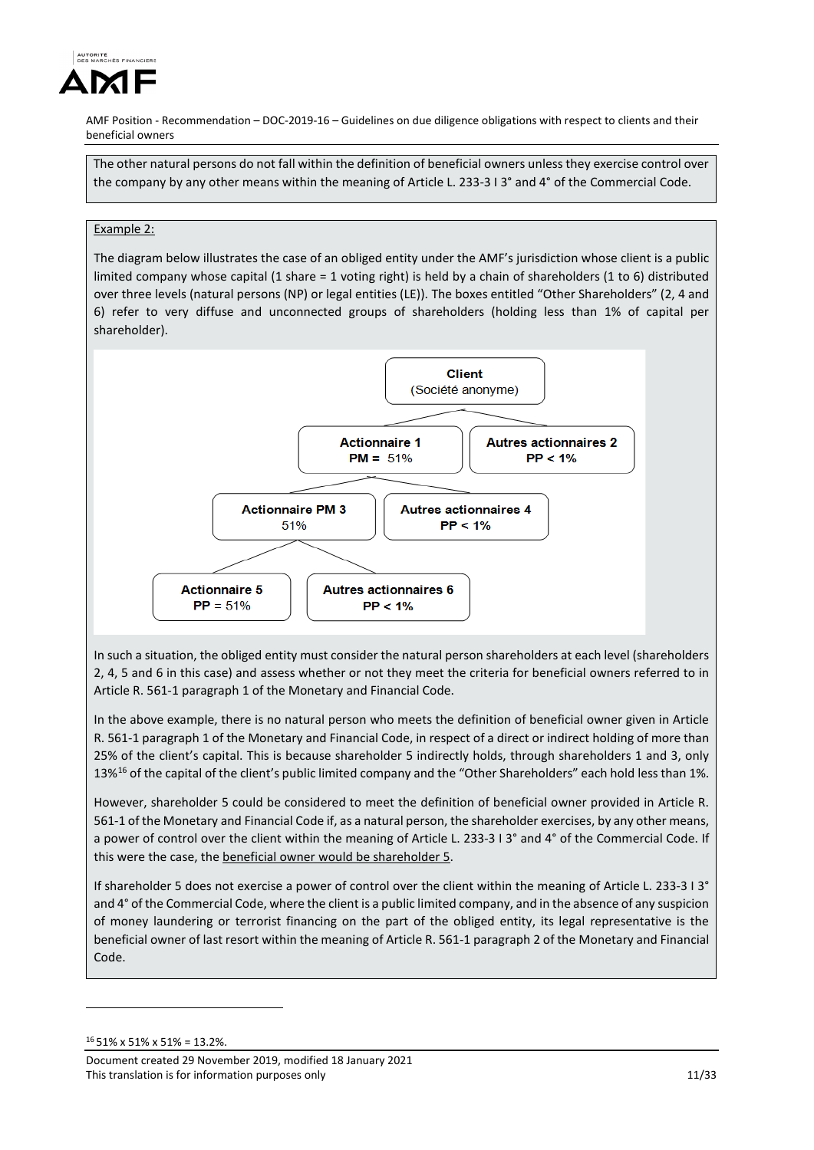

The other natural persons do not fall within the definition of beneficial owners unless they exercise control over the company by any other means within the meaning of Article L. 233-3 I 3° and 4° of the Commercial Code.

## Example 2:

The diagram below illustrates the case of an obliged entity under the AMF's jurisdiction whose client is a public limited company whose capital (1 share = 1 voting right) is held by a chain of shareholders (1 to 6) distributed over three levels (natural persons (NP) or legal entities (LE)). The boxes entitled "Other Shareholders" (2, 4 and 6) refer to very diffuse and unconnected groups of shareholders (holding less than 1% of capital per shareholder).



In such a situation, the obliged entity must consider the natural person shareholders at each level (shareholders 2, 4, 5 and 6 in this case) and assess whether or not they meet the criteria for beneficial owners referred to in Article R. 561-1 paragraph 1 of the Monetary and Financial Code.

In the above example, there is no natural person who meets the definition of beneficial owner given in Article R. 561-1 paragraph 1 of the Monetary and Financial Code, in respect of a direct or indirect holding of more than 25% of the client's capital. This is because shareholder 5 indirectly holds, through shareholders 1 and 3, only 13%[16](#page-10-0) of the capital of the client's public limited company and the "Other Shareholders" each hold less than 1%.

However, shareholder 5 could be considered to meet the definition of beneficial owner provided in Article R. 561-1 of the Monetary and Financial Code if, as a natural person, the shareholder exercises, by any other means, a power of control over the client within the meaning of Article L. 233-3 I 3° and 4° of the Commercial Code. If this were the case, the beneficial owner would be shareholder 5.

If shareholder 5 does not exercise a power of control over the client within the meaning of Article L. 233-3 I 3° and 4° of the Commercial Code, where the client is a public limited company, and in the absence of any suspicion of money laundering or terrorist financing on the part of the obliged entity, its legal representative is the beneficial owner of last resort within the meaning of Article R. 561-1 paragraph 2 of the Monetary and Financial Code.

<u>.</u>

<span id="page-10-0"></span><sup>16</sup> 51% x 51% x 51% = 13.2%.

Document created 29 November 2019, modified 18 January 2021 This translation is for information purposes only 11/33 and 11/33 and 11/33 and 11/33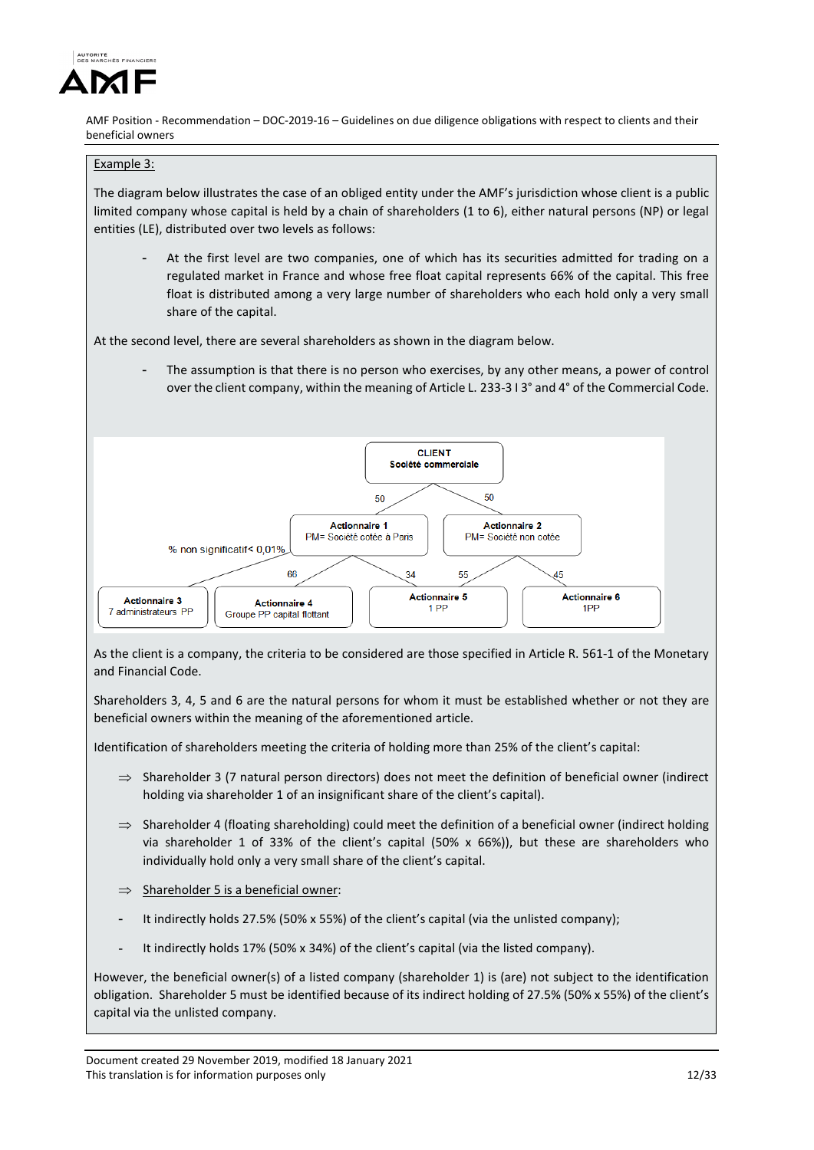

# Example 3:

The diagram below illustrates the case of an obliged entity under the AMF's jurisdiction whose client is a public limited company whose capital is held by a chain of shareholders (1 to 6), either natural persons (NP) or legal entities (LE), distributed over two levels as follows:

At the first level are two companies, one of which has its securities admitted for trading on a regulated market in France and whose free float capital represents 66% of the capital. This free float is distributed among a very large number of shareholders who each hold only a very small share of the capital.

At the second level, there are several shareholders as shown in the diagram below.

The assumption is that there is no person who exercises, by any other means, a power of control over the client company, within the meaning of Article L. 233-3 I 3° and 4° of the Commercial Code.



As the client is a company, the criteria to be considered are those specified in Article R. 561-1 of the Monetary and Financial Code.

Shareholders 3, 4, 5 and 6 are the natural persons for whom it must be established whether or not they are beneficial owners within the meaning of the aforementioned article.

Identification of shareholders meeting the criteria of holding more than 25% of the client's capital:

- $\Rightarrow$  Shareholder 3 (7 natural person directors) does not meet the definition of beneficial owner (indirect holding via shareholder 1 of an insignificant share of the client's capital).
- $\Rightarrow$  Shareholder 4 (floating shareholding) could meet the definition of a beneficial owner (indirect holding via shareholder 1 of 33% of the client's capital (50%  $\times$  66%)), but these are shareholders who individually hold only a very small share of the client's capital.
- $\Rightarrow$  Shareholder 5 is a beneficial owner:
- It indirectly holds 27.5% (50% x 55%) of the client's capital (via the unlisted company);
- It indirectly holds 17% (50% x 34%) of the client's capital (via the listed company).

However, the beneficial owner(s) of a listed company (shareholder 1) is (are) not subject to the identification obligation. Shareholder 5 must be identified because of its indirect holding of 27.5% (50% x 55%) of the client's capital via the unlisted company.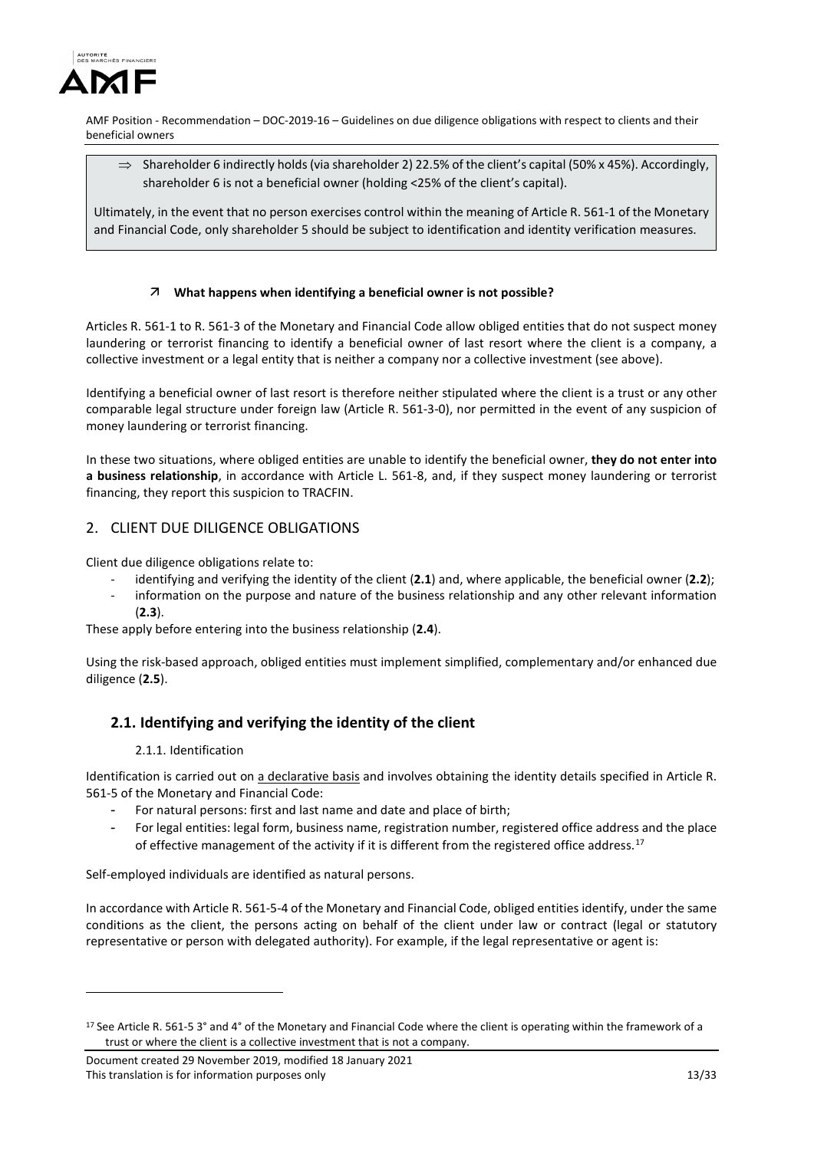

 $\Rightarrow$  Shareholder 6 indirectly holds (via shareholder 2) 22.5% of the client's capital (50% x 45%). Accordingly, shareholder 6 is not a beneficial owner (holding <25% of the client's capital).

Ultimately, in the event that no person exercises control within the meaning of Article R. 561-1 of the Monetary and Financial Code, only shareholder 5 should be subject to identification and identity verification measures.

# **What happens when identifying a beneficial owner is not possible?**

Articles R. 561-1 to R. 561-3 of the Monetary and Financial Code allow obliged entities that do not suspect money laundering or terrorist financing to identify a beneficial owner of last resort where the client is a company, a collective investment or a legal entity that is neither a company nor a collective investment (see above).

Identifying a beneficial owner of last resort is therefore neither stipulated where the client is a trust or any other comparable legal structure under foreign law (Article R. 561-3-0), nor permitted in the event of any suspicion of money laundering or terrorist financing.

In these two situations, where obliged entities are unable to identify the beneficial owner, **they do not enter into a business relationship**, in accordance with Article L. 561-8, and, if they suspect money laundering or terrorist financing, they report this suspicion to TRACFIN.

# 2. CLIENT DUE DILIGENCE OBLIGATIONS

Client due diligence obligations relate to:

- identifying and verifying the identity of the client (**2.1**) and, where applicable, the beneficial owner (**2.2**);
- information on the purpose and nature of the business relationship and any other relevant information (**2.3**).

These apply before entering into the business relationship (**2.4**).

Using the risk-based approach, obliged entities must implement simplified, complementary and/or enhanced due diligence (**2.5**).

# **2.1. Identifying and verifying the identity of the client**

## 2.1.1. Identification

<u>.</u>

Identification is carried out on a declarative basis and involves obtaining the identity details specified in Article R. 561-5 of the Monetary and Financial Code:

- For natural persons: first and last name and date and place of birth;
- For legal entities: legal form, business name, registration number, registered office address and the place of effective management of the activity if it is different from the registered office address.<sup>[17](#page-12-0)</sup>

Self-employed individuals are identified as natural persons.

In accordance with Article R. 561-5-4 of the Monetary and Financial Code, obliged entities identify, under the same conditions as the client, the persons acting on behalf of the client under law or contract (legal or statutory representative or person with delegated authority). For example, if the legal representative or agent is:

<span id="page-12-0"></span><sup>&</sup>lt;sup>17</sup> See Article R. 561-5 3° and 4° of the Monetary and Financial Code where the client is operating within the framework of a trust or where the client is a collective investment that is not a company.

Document created 29 November 2019, modified 18 January 2021 This translation is for information purposes only 13/33 and 13/33 and 13/33 and 13/33 and 13/33 and 13/33 and 13/33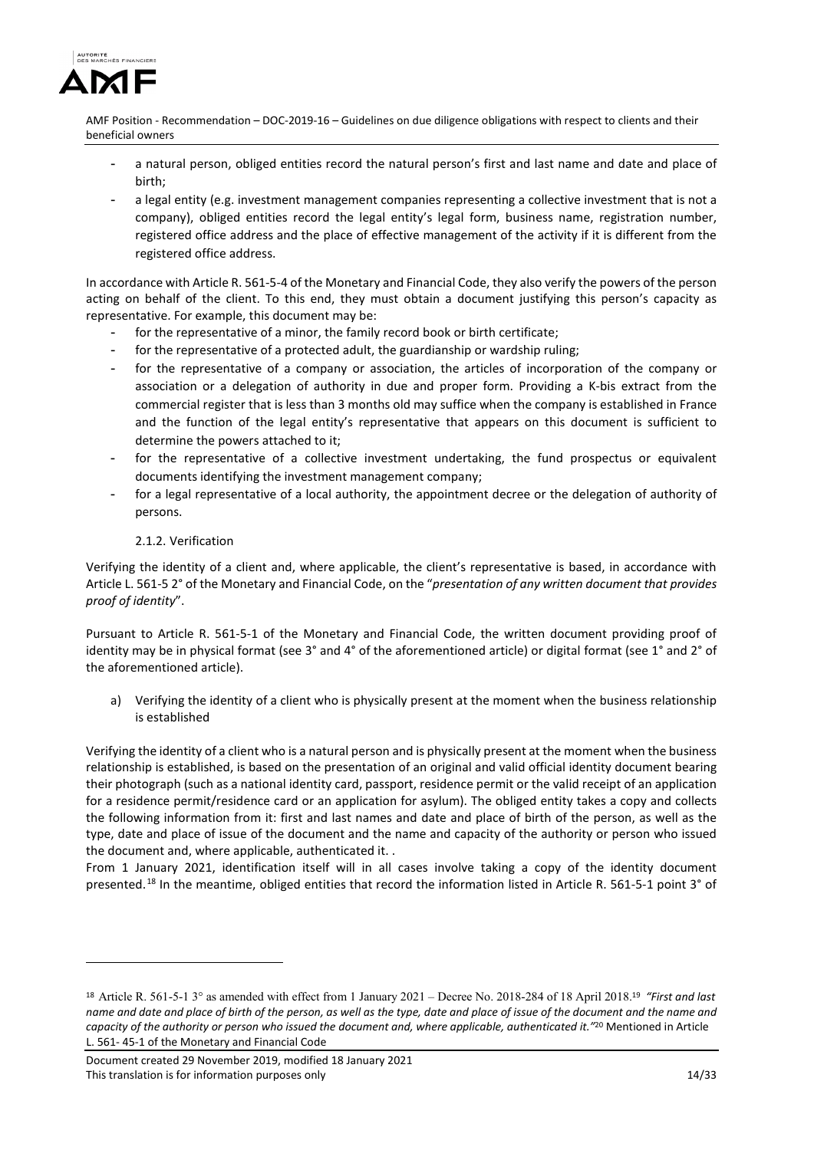

- a natural person, obliged entities record the natural person's first and last name and date and place of birth;
- a legal entity (e.g. investment management companies representing a collective investment that is not a company), obliged entities record the legal entity's legal form, business name, registration number, registered office address and the place of effective management of the activity if it is different from the registered office address.

In accordance with Article R. 561-5-4 of the Monetary and Financial Code, they also verify the powers of the person acting on behalf of the client. To this end, they must obtain a document justifying this person's capacity as representative. For example, this document may be:

- for the representative of a minor, the family record book or birth certificate;
- for the representative of a protected adult, the guardianship or wardship ruling;
- for the representative of a company or association, the articles of incorporation of the company or association or a delegation of authority in due and proper form. Providing a K-bis extract from the commercial register that is less than 3 months old may suffice when the company is established in France and the function of the legal entity's representative that appears on this document is sufficient to determine the powers attached to it;
- for the representative of a collective investment undertaking, the fund prospectus or equivalent documents identifying the investment management company;
- for a legal representative of a local authority, the appointment decree or the delegation of authority of persons.

# 2.1.2. Verification

<u>.</u>

Verifying the identity of a client and, where applicable, the client's representative is based, in accordance with Article L. 561-5 2° of the Monetary and Financial Code, on the "*presentation of any written document that provides proof of identity*".

Pursuant to Article R. 561-5-1 of the Monetary and Financial Code, the written document providing proof of identity may be in physical format (see 3° and 4° of the aforementioned article) or digital format (see 1° and 2° of the aforementioned article).

a) Verifying the identity of a client who is physically present at the moment when the business relationship is established

Verifying the identity of a client who is a natural person and is physically present at the moment when the business relationship is established, is based on the presentation of an original and valid official identity document bearing their photograph (such as a national identity card, passport, residence permit or the valid receipt of an application for a residence permit/residence card or an application for asylum). The obliged entity takes a copy and collects the following information from it: first and last names and date and place of birth of the person, as well as the type, date and place of issue of the document and the name and capacity of the authority or person who issued the document and, where applicable, authenticated it. .

From 1 January 2021, identification itself will in all cases involve taking a copy of the identity document presented.<sup>[18](#page-13-0)</sup> In the meantime, obliged entities that record the information listed in Article R. 561-5-1 point 3° of

<span id="page-13-1"></span><span id="page-13-0"></span><sup>18</sup> Article R. 561-5-1 3° as amended with effect from 1 January 2021 – Decree No. 2018-284 of 18 April 2018.<sup>19</sup> *"First and last name and date and place of birth of the person, as well as the type, date and place of issue of the document and the name and capacity of the authority or person who issued the document and, where applicable, authenticated it."*<sup>20</sup> Mentioned in Article L. 561- 45-1 of the Monetary and Financial Code

Document created 29 November 2019, modified 18 January 2021 This translation is for information purposes only 14/33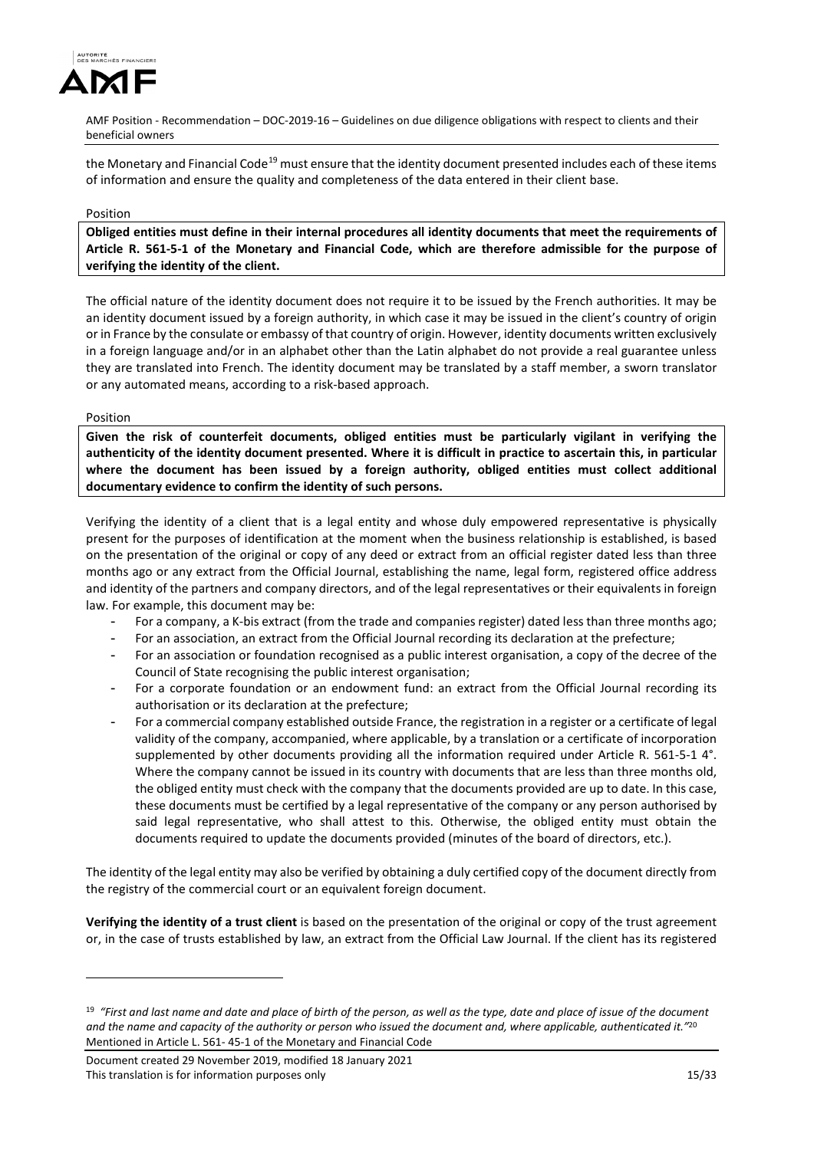

the Monetary and Financial Code<sup>[19](#page-13-1)</sup> must ensure that the identity document presented includes each of these items of information and ensure the quality and completeness of the data entered in their client base.

#### Position

**Obliged entities must define in their internal procedures all identity documents that meet the requirements of Article R. 561-5-1 of the Monetary and Financial Code, which are therefore admissible for the purpose of verifying the identity of the client.** 

The official nature of the identity document does not require it to be issued by the French authorities. It may be an identity document issued by a foreign authority, in which case it may be issued in the client's country of origin or in France by the consulate or embassy of that country of origin. However, identity documents written exclusively in a foreign language and/or in an alphabet other than the Latin alphabet do not provide a real guarantee unless they are translated into French. The identity document may be translated by a staff member, a sworn translator or any automated means, according to a risk-based approach.

Position

-

**Given the risk of counterfeit documents, obliged entities must be particularly vigilant in verifying the authenticity of the identity document presented. Where it is difficult in practice to ascertain this, in particular where the document has been issued by a foreign authority, obliged entities must collect additional documentary evidence to confirm the identity of such persons.**

Verifying the identity of a client that is a legal entity and whose duly empowered representative is physically present for the purposes of identification at the moment when the business relationship is established, is based on the presentation of the original or copy of any deed or extract from an official register dated less than three months ago or any extract from the Official Journal, establishing the name, legal form, registered office address and identity of the partners and company directors, and of the legal representatives or their equivalents in foreign law. For example, this document may be:

- For a company, a K-bis extract (from the trade and companies register) dated less than three months ago;
- For an association, an extract from the Official Journal recording its declaration at the prefecture;
- For an association or foundation recognised as a public interest organisation, a copy of the decree of the Council of State recognising the public interest organisation;
- For a corporate foundation or an endowment fund: an extract from the Official Journal recording its authorisation or its declaration at the prefecture;
- For a commercial company established outside France, the registration in a register or a certificate of legal validity of the company, accompanied, where applicable, by a translation or a certificate of incorporation supplemented by other documents providing all the information required under Article R. 561-5-1  $4^{\circ}$ . Where the company cannot be issued in its country with documents that are less than three months old, the obliged entity must check with the company that the documents provided are up to date. In this case, these documents must be certified by a legal representative of the company or any person authorised by said legal representative, who shall attest to this. Otherwise, the obliged entity must obtain the documents required to update the documents provided (minutes of the board of directors, etc.).

The identity of the legal entity may also be verified by obtaining a duly certified copy of the document directly from the registry of the commercial court or an equivalent foreign document.

**Verifying the identity of a trust client** is based on the presentation of the original or copy of the trust agreement or, in the case of trusts established by law, an extract from the Official Law Journal. If the client has its registered

<sup>19</sup> *"First and last name and date and place of birth of the person, as well as the type, date and place of issue of the document and the name and capacity of the authority or person who issued the document and, where applicable, authenticated it."*<sup>20</sup> Mentioned in Article L. 561- 45-1 of the Monetary and Financial Code

Document created 29 November 2019, modified 18 January 2021 This translation is for information purposes only 15/33 and 15/33 and 15/33 and 15/33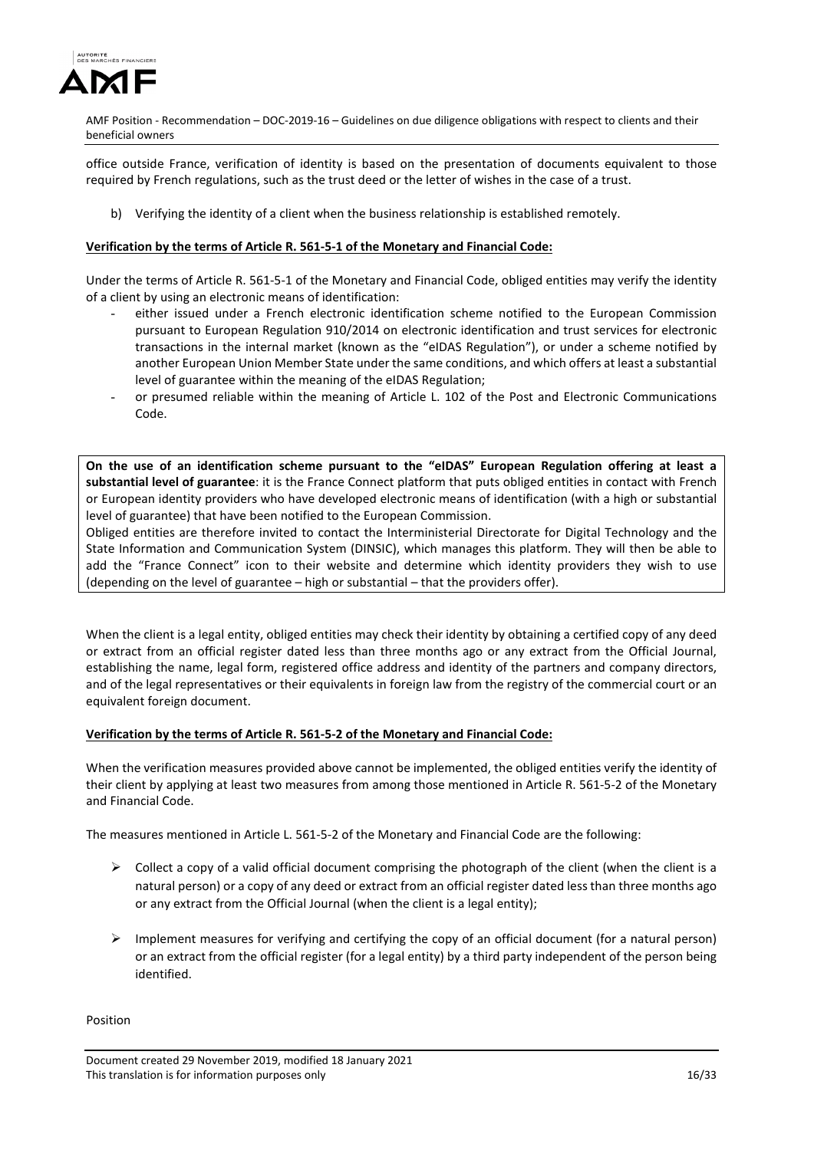

office outside France, verification of identity is based on the presentation of documents equivalent to those required by French regulations, such as the trust deed or the letter of wishes in the case of a trust.

b) Verifying the identity of a client when the business relationship is established remotely.

#### **Verification by the terms of Article R. 561-5-1 of the Monetary and Financial Code:**

Under the terms of Article R. 561-5-1 of the Monetary and Financial Code, obliged entities may verify the identity of a client by using an electronic means of identification:

- either issued under a French electronic identification scheme notified to the European Commission pursuant to European Regulation 910/2014 on electronic identification and trust services for electronic transactions in the internal market (known as the "eIDAS Regulation"), or under a scheme notified by another European Union Member State under the same conditions, and which offers at least a substantial level of guarantee within the meaning of the eIDAS Regulation;
- or presumed reliable within the meaning of Article L. 102 of the Post and Electronic Communications Code.

**On the use of an identification scheme pursuant to the "eIDAS" European Regulation offering at least a substantial level of guarantee**: it is the France Connect platform that puts obliged entities in contact with French or European identity providers who have developed electronic means of identification (with a high or substantial level of guarantee) that have been notified to the European Commission.

Obliged entities are therefore invited to contact the Interministerial Directorate for Digital Technology and the State Information and Communication System (DINSIC), which manages this platform. They will then be able to add the "France Connect" icon to their website and determine which identity providers they wish to use (depending on the level of guarantee – high or substantial – that the providers offer).

When the client is a legal entity, obliged entities may check their identity by obtaining a certified copy of any deed or extract from an official register dated less than three months ago or any extract from the Official Journal, establishing the name, legal form, registered office address and identity of the partners and company directors, and of the legal representatives or their equivalents in foreign law from the registry of the commercial court or an equivalent foreign document.

## **Verification by the terms of Article R. 561-5-2 of the Monetary and Financial Code:**

When the verification measures provided above cannot be implemented, the obliged entities verify the identity of their client by applying at least two measures from among those mentioned in Article R. 561-5-2 of the Monetary and Financial Code.

The measures mentioned in Article L. 561-5-2 of the Monetary and Financial Code are the following:

- $\triangleright$  Collect a copy of a valid official document comprising the photograph of the client (when the client is a natural person) or a copy of any deed or extract from an official register dated less than three months ago or any extract from the Official Journal (when the client is a legal entity);
- $\triangleright$  Implement measures for verifying and certifying the copy of an official document (for a natural person) or an extract from the official register (for a legal entity) by a third party independent of the person being identified.

Position

Document created 29 November 2019, modified 18 January 2021 This translation is for information purposes only 16/33 and 16/33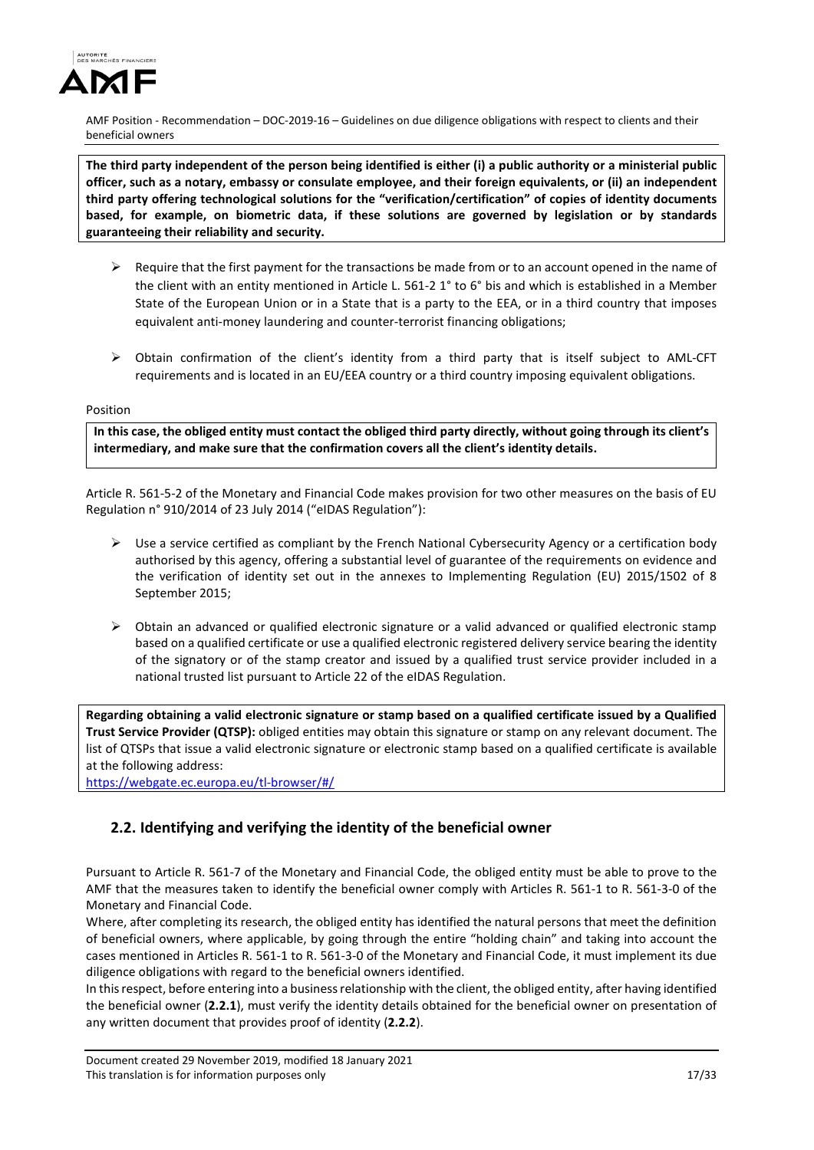

**The third party independent of the person being identified is either (i) a public authority or a ministerial public officer, such as a notary, embassy or consulate employee, and their foreign equivalents, or (ii) an independent third party offering technological solutions for the "verification/certification" of copies of identity documents based, for example, on biometric data, if these solutions are governed by legislation or by standards guaranteeing their reliability and security.** 

- $\triangleright$  Require that the first payment for the transactions be made from or to an account opened in the name of the client with an entity mentioned in Article L. 561-2 1° to 6° bis and which is established in a Member State of the European Union or in a State that is a party to the EEA, or in a third country that imposes equivalent anti-money laundering and counter-terrorist financing obligations;
- $\triangleright$  Obtain confirmation of the client's identity from a third party that is itself subject to AML-CFT requirements and is located in an EU/EEA country or a third country imposing equivalent obligations.

#### Position

**In this case, the obliged entity must contact the obliged third party directly, without going through its client's intermediary, and make sure that the confirmation covers all the client's identity details.** 

Article R. 561-5-2 of the Monetary and Financial Code makes provision for two other measures on the basis of EU Regulation n° 910/2014 of 23 July 2014 ("eIDAS Regulation"):

- $\triangleright$  Use a service certified as compliant by the French National Cybersecurity Agency or a certification body authorised by this agency, offering a substantial level of guarantee of the requirements on evidence and the verification of identity set out in the annexes to Implementing Regulation (EU) 2015/1502 of 8 September 2015;
- $\triangleright$  Obtain an advanced or qualified electronic signature or a valid advanced or qualified electronic stamp based on a qualified certificate or use a qualified electronic registered delivery service bearing the identity of the signatory or of the stamp creator and issued by a qualified trust service provider included in a national trusted list pursuant to Article 22 of the eIDAS Regulation.

**Regarding obtaining a valid electronic signature or stamp based on a qualified certificate issued by a Qualified Trust Service Provider (QTSP):** obliged entities may obtain this signature or stamp on any relevant document. The list of QTSPs that issue a valid electronic signature or electronic stamp based on a qualified certificate is available at the following address:

<https://webgate.ec.europa.eu/tl-browser/#/>

# **2.2. Identifying and verifying the identity of the beneficial owner**

Pursuant to Article R. 561-7 of the Monetary and Financial Code, the obliged entity must be able to prove to the AMF that the measures taken to identify the beneficial owner comply with Articles R. 561-1 to R. 561-3-0 of the Monetary and Financial Code.

Where, after completing its research, the obliged entity has identified the natural persons that meet the definition of beneficial owners, where applicable, by going through the entire "holding chain" and taking into account the cases mentioned in Articles R. 561-1 to R. 561-3-0 of the Monetary and Financial Code, it must implement its due diligence obligations with regard to the beneficial owners identified.

In this respect, before entering into a business relationship with the client, the obliged entity, after having identified the beneficial owner (**2.2.1**), must verify the identity details obtained for the beneficial owner on presentation of any written document that provides proof of identity (**2.2.2**).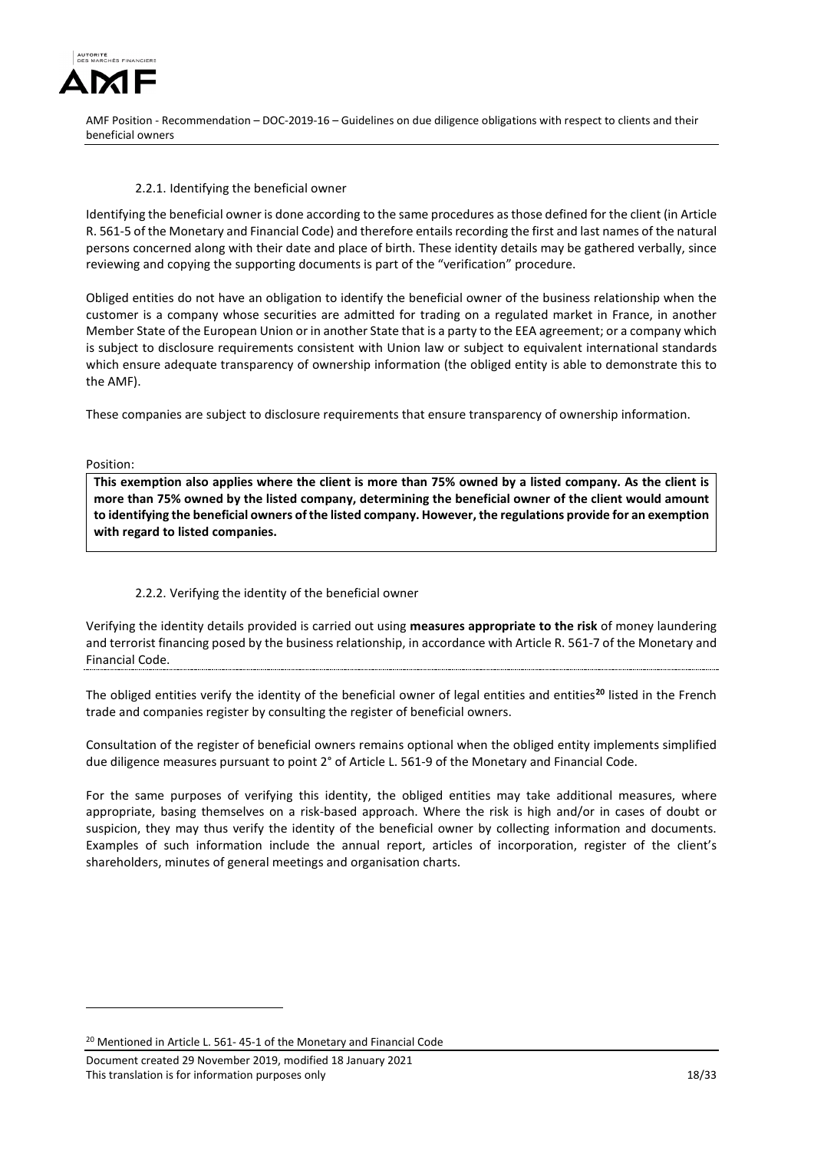

## 2.2.1. Identifying the beneficial owner

Identifying the beneficial owner is done according to the same procedures as those defined for the client (in Article R. 561-5 of the Monetary and Financial Code) and therefore entails recording the first and last names of the natural persons concerned along with their date and place of birth. These identity details may be gathered verbally, since reviewing and copying the supporting documents is part of the "verification" procedure.

Obliged entities do not have an obligation to identify the beneficial owner of the business relationship when the customer is a company whose securities are admitted for trading on a regulated market in France, in another Member State of the European Union or in another State that is a party to the EEA agreement; or a company which is subject to disclosure requirements consistent with Union law or subject to equivalent international standards which ensure adequate transparency of ownership information (the obliged entity is able to demonstrate this to the AMF).

These companies are subject to disclosure requirements that ensure transparency of ownership information.

Position:

<u>.</u>

**This exemption also applies where the client is more than 75% owned by a listed company. As the client is more than 75% owned by the listed company, determining the beneficial owner of the client would amount to identifying the beneficial owners of the listed company. However, the regulations provide for an exemption with regard to listed companies.** 

## 2.2.2. Verifying the identity of the beneficial owner

Verifying the identity details provided is carried out using **measures appropriate to the risk** of money laundering and terrorist financing posed by the business relationship, in accordance with Article R. 561-7 of the Monetary and Financial Code.

The obliged entities verify the identity of the beneficial owner of legal entities and entities**[20](#page-17-0)** listed in the French trade and companies register by consulting the register of beneficial owners.

Consultation of the register of beneficial owners remains optional when the obliged entity implements simplified due diligence measures pursuant to point 2° of Article L. 561-9 of the Monetary and Financial Code.

For the same purposes of verifying this identity, the obliged entities may take additional measures, where appropriate, basing themselves on a risk-based approach. Where the risk is high and/or in cases of doubt or suspicion, they may thus verify the identity of the beneficial owner by collecting information and documents. Examples of such information include the annual report, articles of incorporation, register of the client's shareholders, minutes of general meetings and organisation charts.

<span id="page-17-0"></span><sup>20</sup> Mentioned in Article L. 561- 45-1 of the Monetary and Financial Code

Document created 29 November 2019, modified 18 January 2021 This translation is for information purposes only 18/33 and 18/33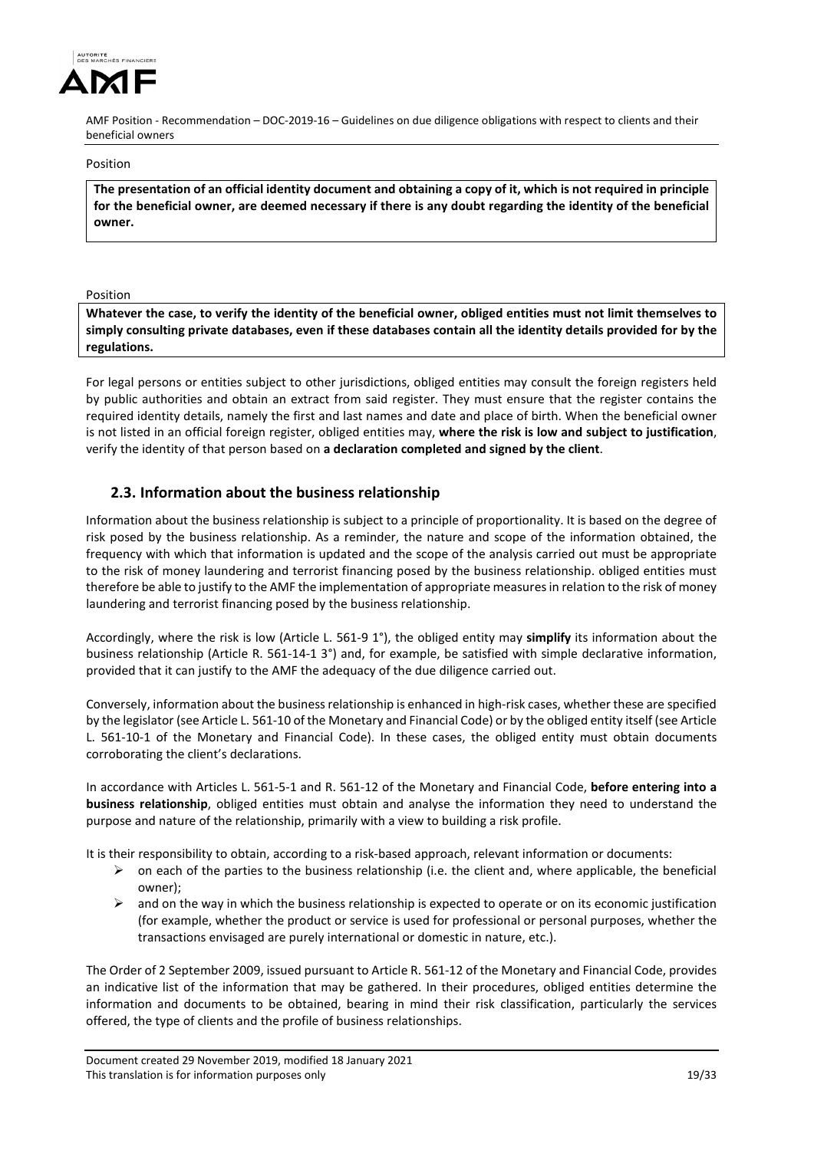

Position

**The presentation of an official identity document and obtaining a copy of it, which is not required in principle for the beneficial owner, are deemed necessary if there is any doubt regarding the identity of the beneficial owner.** 

Position

**Whatever the case, to verify the identity of the beneficial owner, obliged entities must not limit themselves to simply consulting private databases, even if these databases contain all the identity details provided for by the regulations.**

For legal persons or entities subject to other jurisdictions, obliged entities may consult the foreign registers held by public authorities and obtain an extract from said register. They must ensure that the register contains the required identity details, namely the first and last names and date and place of birth. When the beneficial owner is not listed in an official foreign register, obliged entities may, **where the risk is low and subject to justification**, verify the identity of that person based on **a declaration completed and signed by the client**.

# **2.3. Information about the business relationship**

Information about the business relationship is subject to a principle of proportionality. It is based on the degree of risk posed by the business relationship. As a reminder, the nature and scope of the information obtained, the frequency with which that information is updated and the scope of the analysis carried out must be appropriate to the risk of money laundering and terrorist financing posed by the business relationship. obliged entities must therefore be able to justify to the AMF the implementation of appropriate measures in relation to the risk of money laundering and terrorist financing posed by the business relationship.

Accordingly, where the risk is low (Article L. 561-9 1°), the obliged entity may **simplify** its information about the business relationship (Article R. 561-14-1 3°) and, for example, be satisfied with simple declarative information, provided that it can justify to the AMF the adequacy of the due diligence carried out.

Conversely, information about the business relationship is enhanced in high-risk cases, whether these are specified by the legislator (see Article L. 561-10 of the Monetary and Financial Code) or by the obliged entity itself (see Article L. 561-10-1 of the Monetary and Financial Code). In these cases, the obliged entity must obtain documents corroborating the client's declarations.

In accordance with Articles L. 561-5-1 and R. 561-12 of the Monetary and Financial Code, **before entering into a business relationship**, obliged entities must obtain and analyse the information they need to understand the purpose and nature of the relationship, primarily with a view to building a risk profile.

It is their responsibility to obtain, according to a risk-based approach, relevant information or documents:

- $\triangleright$  on each of the parties to the business relationship (i.e. the client and, where applicable, the beneficial owner);
- $\triangleright$  and on the way in which the business relationship is expected to operate or on its economic justification (for example, whether the product or service is used for professional or personal purposes, whether the transactions envisaged are purely international or domestic in nature, etc.).

The Order of 2 September 2009, issued pursuant to Article R. 561-12 of the Monetary and Financial Code, provides an indicative list of the information that may be gathered. In their procedures, obliged entities determine the information and documents to be obtained, bearing in mind their risk classification, particularly the services offered, the type of clients and the profile of business relationships.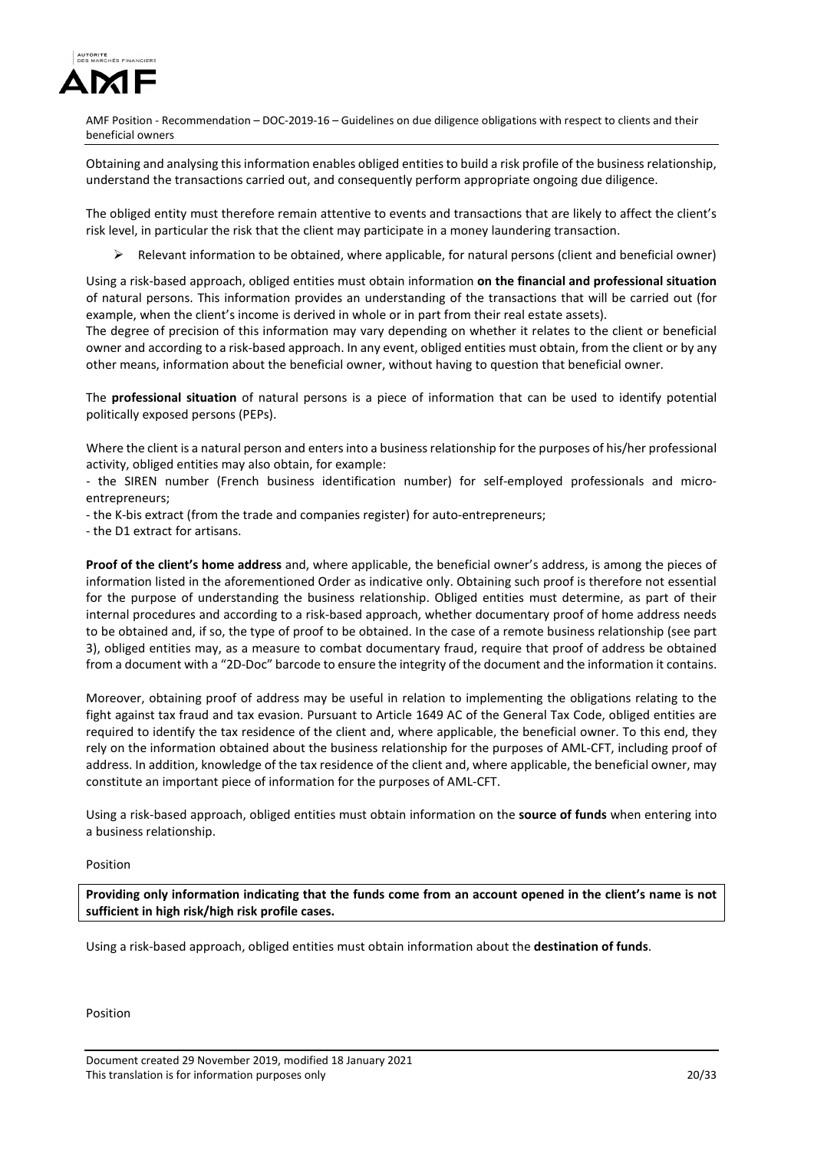

Obtaining and analysing this information enables obliged entities to build a risk profile of the business relationship, understand the transactions carried out, and consequently perform appropriate ongoing due diligence.

The obliged entity must therefore remain attentive to events and transactions that are likely to affect the client's risk level, in particular the risk that the client may participate in a money laundering transaction.

 $\triangleright$  Relevant information to be obtained, where applicable, for natural persons (client and beneficial owner)

Using a risk-based approach, obliged entities must obtain information **on the financial and professional situation** of natural persons. This information provides an understanding of the transactions that will be carried out (for example, when the client's income is derived in whole or in part from their real estate assets).

The degree of precision of this information may vary depending on whether it relates to the client or beneficial owner and according to a risk-based approach. In any event, obliged entities must obtain, from the client or by any other means, information about the beneficial owner, without having to question that beneficial owner.

The **professional situation** of natural persons is a piece of information that can be used to identify potential politically exposed persons (PEPs).

Where the client is a natural person and enters into a business relationship for the purposes of his/her professional activity, obliged entities may also obtain, for example:

- the SIREN number (French business identification number) for self-employed professionals and microentrepreneurs;

- the K-bis extract (from the trade and companies register) for auto-entrepreneurs;

- the D1 extract for artisans.

**Proof of the client's home address** and, where applicable, the beneficial owner's address, is among the pieces of information listed in the aforementioned Order as indicative only. Obtaining such proof is therefore not essential for the purpose of understanding the business relationship. Obliged entities must determine, as part of their internal procedures and according to a risk-based approach, whether documentary proof of home address needs to be obtained and, if so, the type of proof to be obtained. In the case of a remote business relationship (see part 3), obliged entities may, as a measure to combat documentary fraud, require that proof of address be obtained from a document with a "2D-Doc" barcode to ensure the integrity of the document and the information it contains.

Moreover, obtaining proof of address may be useful in relation to implementing the obligations relating to the fight against tax fraud and tax evasion. Pursuant to Article 1649 AC of the General Tax Code, obliged entities are required to identify the tax residence of the client and, where applicable, the beneficial owner. To this end, they rely on the information obtained about the business relationship for the purposes of AML-CFT, including proof of address. In addition, knowledge of the tax residence of the client and, where applicable, the beneficial owner, may constitute an important piece of information for the purposes of AML-CFT.

Using a risk-based approach, obliged entities must obtain information on the **source of funds** when entering into a business relationship.

#### Position

**Providing only information indicating that the funds come from an account opened in the client's name is not sufficient in high risk/high risk profile cases.** 

Using a risk-based approach, obliged entities must obtain information about the **destination of funds**.

Position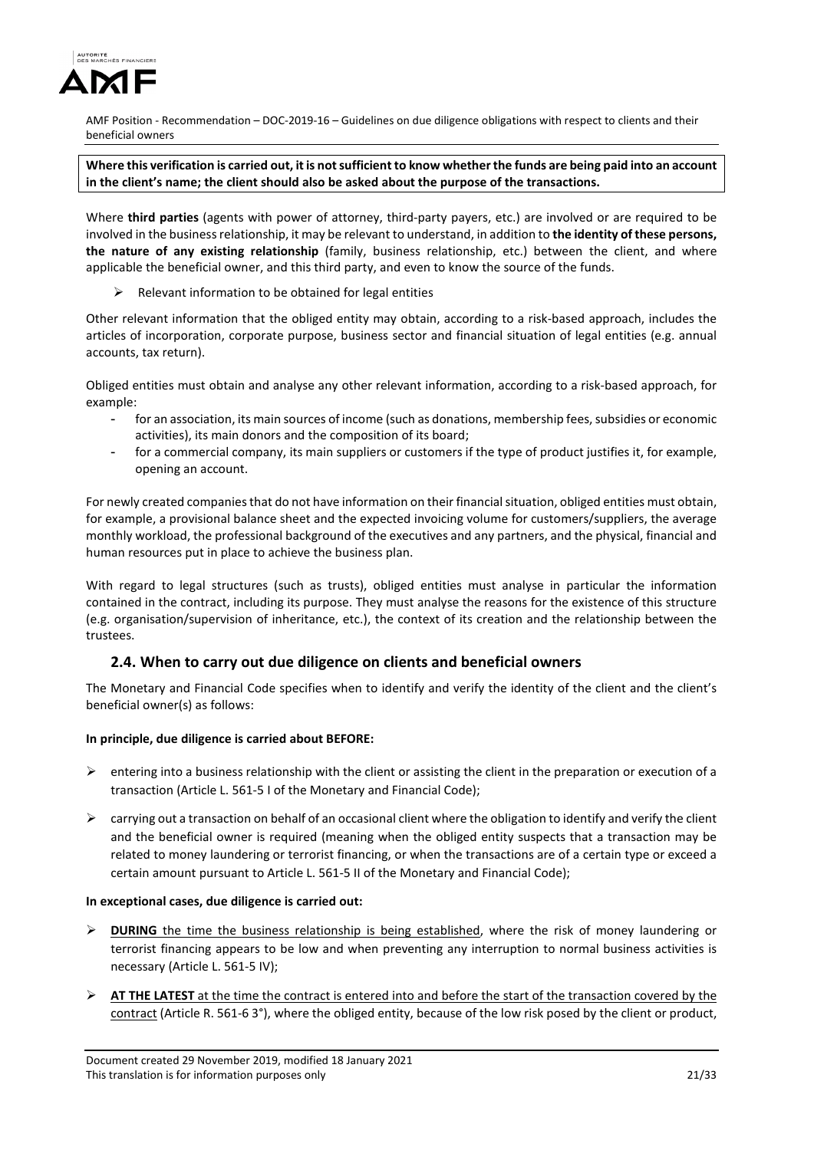

# **Where this verification is carried out, it is not sufficient to know whether the funds are being paid into an account in the client's name; the client should also be asked about the purpose of the transactions.**

Where **third parties** (agents with power of attorney, third-party payers, etc.) are involved or are required to be involved in the business relationship, it may be relevant to understand, in addition to **the identity of these persons, the nature of any existing relationship** (family, business relationship, etc.) between the client, and where applicable the beneficial owner, and this third party, and even to know the source of the funds.

 $\triangleright$  Relevant information to be obtained for legal entities

Other relevant information that the obliged entity may obtain, according to a risk-based approach, includes the articles of incorporation, corporate purpose, business sector and financial situation of legal entities (e.g. annual accounts, tax return).

Obliged entities must obtain and analyse any other relevant information, according to a risk-based approach, for example:

- for an association, its main sources of income (such as donations, membership fees, subsidies or economic activities), its main donors and the composition of its board;
- for a commercial company, its main suppliers or customers if the type of product justifies it, for example, opening an account.

For newly created companies that do not have information on their financial situation, obliged entities must obtain, for example, a provisional balance sheet and the expected invoicing volume for customers/suppliers, the average monthly workload, the professional background of the executives and any partners, and the physical, financial and human resources put in place to achieve the business plan.

With regard to legal structures (such as trusts), obliged entities must analyse in particular the information contained in the contract, including its purpose. They must analyse the reasons for the existence of this structure (e.g. organisation/supervision of inheritance, etc.), the context of its creation and the relationship between the trustees.

# **2.4. When to carry out due diligence on clients and beneficial owners**

The Monetary and Financial Code specifies when to identify and verify the identity of the client and the client's beneficial owner(s) as follows:

## **In principle, due diligence is carried about BEFORE:**

- $\triangleright$  entering into a business relationship with the client or assisting the client in the preparation or execution of a transaction (Article L. 561-5 I of the Monetary and Financial Code);
- $\triangleright$  carrying out a transaction on behalf of an occasional client where the obligation to identify and verify the client and the beneficial owner is required (meaning when the obliged entity suspects that a transaction may be related to money laundering or terrorist financing, or when the transactions are of a certain type or exceed a certain amount pursuant to Article L. 561-5 II of the Monetary and Financial Code);

## **In exceptional cases, due diligence is carried out:**

- **►** DURING the time the business relationship is being established, where the risk of money laundering or terrorist financing appears to be low and when preventing any interruption to normal business activities is necessary (Article L. 561-5 IV);
- **AT THE LATEST** at the time the contract is entered into and before the start of the transaction covered by the contract (Article R. 561-6 3°), where the obliged entity, because of the low risk posed by the client or product,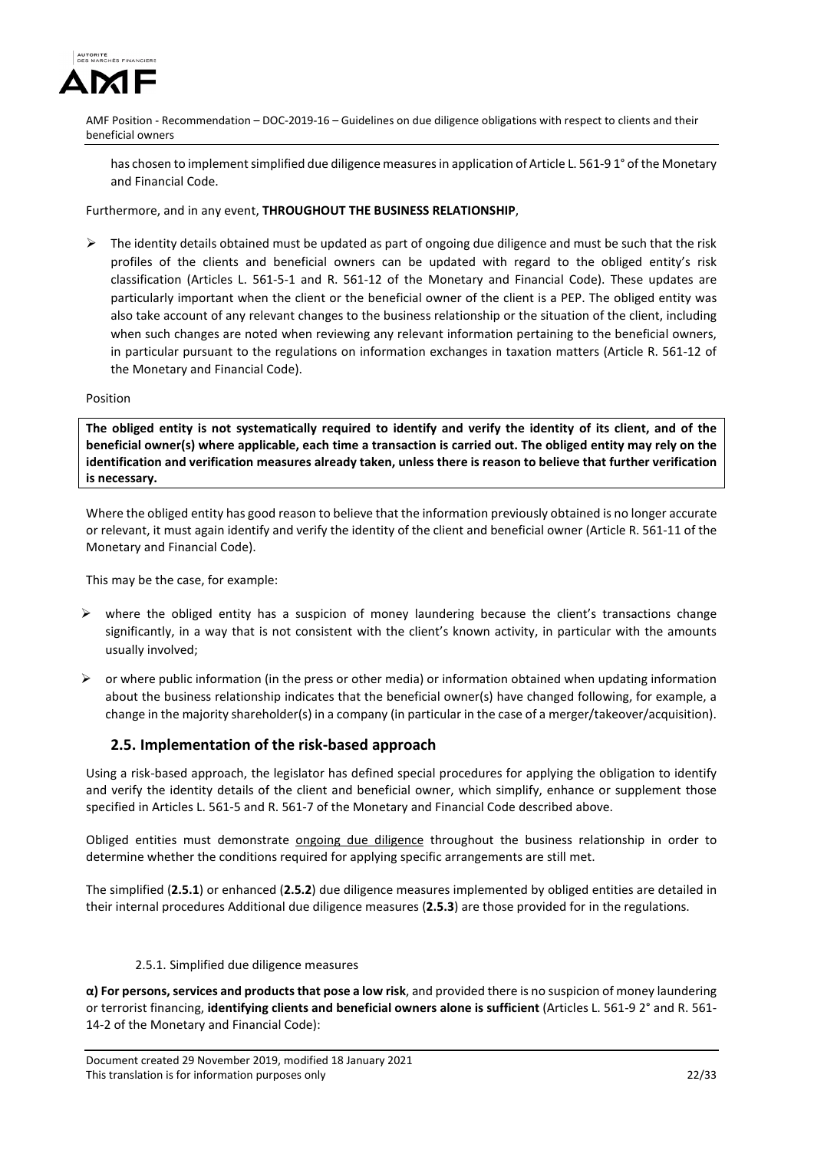

has chosen to implement simplified due diligence measures in application of Article L. 561-9 1° of the Monetary and Financial Code.

Furthermore, and in any event, **THROUGHOUT THE BUSINESS RELATIONSHIP**,

 The identity details obtained must be updated as part of ongoing due diligence and must be such that the risk profiles of the clients and beneficial owners can be updated with regard to the obliged entity's risk classification (Articles L. 561-5-1 and R. 561-12 of the Monetary and Financial Code). These updates are particularly important when the client or the beneficial owner of the client is a PEP. The obliged entity was also take account of any relevant changes to the business relationship or the situation of the client, including when such changes are noted when reviewing any relevant information pertaining to the beneficial owners, in particular pursuant to the regulations on information exchanges in taxation matters (Article R. 561-12 of the Monetary and Financial Code).

#### Position

**The obliged entity is not systematically required to identify and verify the identity of its client, and of the beneficial owner(s) where applicable, each time a transaction is carried out. The obliged entity may rely on the identification and verification measures already taken, unless there is reason to believe that further verification is necessary.**

Where the obliged entity has good reason to believe that the information previously obtained is no longer accurate or relevant, it must again identify and verify the identity of the client and beneficial owner (Article R. 561-11 of the Monetary and Financial Code).

This may be the case, for example:

- $\triangleright$  where the obliged entity has a suspicion of money laundering because the client's transactions change significantly, in a way that is not consistent with the client's known activity, in particular with the amounts usually involved;
- $\triangleright$  or where public information (in the press or other media) or information obtained when updating information about the business relationship indicates that the beneficial owner(s) have changed following, for example, a change in the majority shareholder(s) in a company (in particular in the case of a merger/takeover/acquisition).

# **2.5. Implementation of the risk-based approach**

Using a risk-based approach, the legislator has defined special procedures for applying the obligation to identify and verify the identity details of the client and beneficial owner, which simplify, enhance or supplement those specified in Articles L. 561-5 and R. 561-7 of the Monetary and Financial Code described above.

Obliged entities must demonstrate ongoing due diligence throughout the business relationship in order to determine whether the conditions required for applying specific arrangements are still met.

The simplified (**2.5.1**) or enhanced (**2.5.2**) due diligence measures implemented by obliged entities are detailed in their internal procedures Additional due diligence measures (**2.5.3**) are those provided for in the regulations.

## 2.5.1. Simplified due diligence measures

**α) For persons, services and products that pose a low risk**, and provided there is no suspicion of money laundering or terrorist financing, **identifying clients and beneficial owners alone is sufficient** (Articles L. 561-9 2° and R. 561- 14-2 of the Monetary and Financial Code):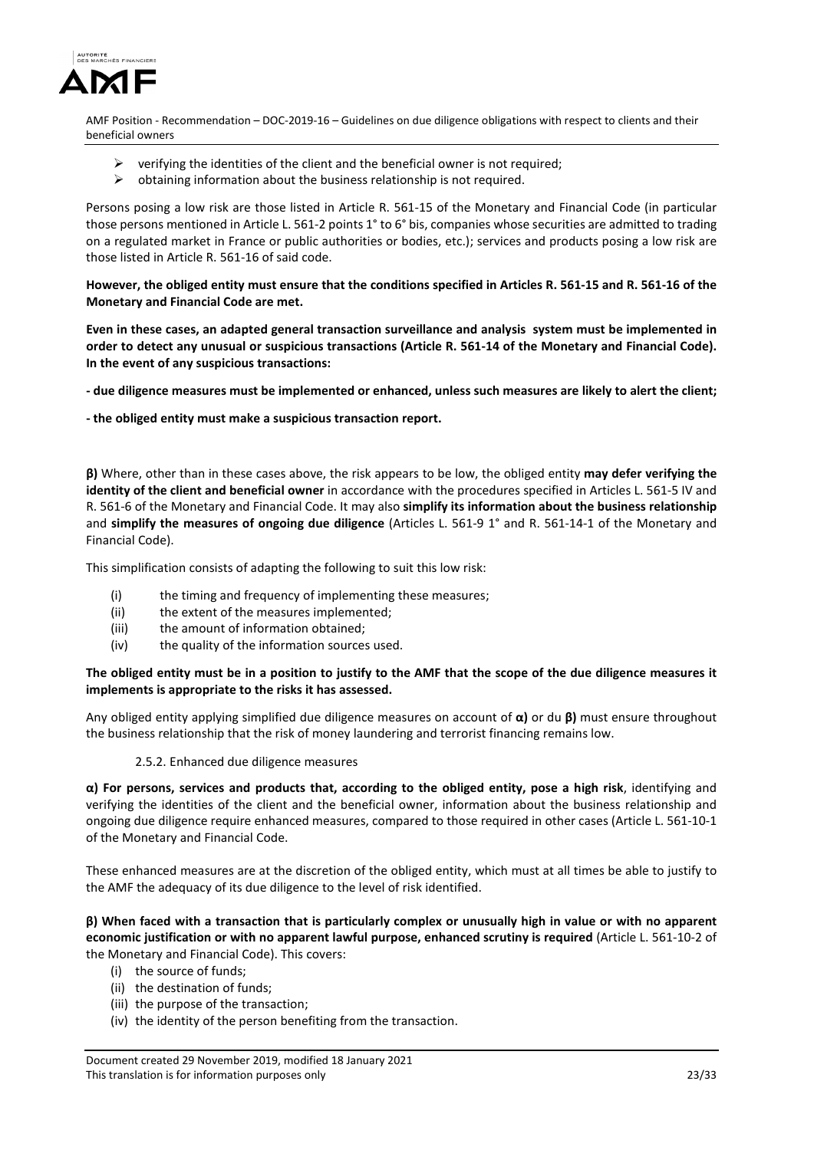

- $\triangleright$  verifying the identities of the client and the beneficial owner is not required;
- $\triangleright$  obtaining information about the business relationship is not required.

Persons posing a low risk are those listed in Article R. 561-15 of the Monetary and Financial Code (in particular those persons mentioned in Article L. 561-2 points 1° to 6° bis, companies whose securities are admitted to trading on a regulated market in France or public authorities or bodies, etc.); services and products posing a low risk are those listed in Article R. 561-16 of said code.

**However, the obliged entity must ensure that the conditions specified in Articles R. 561-15 and R. 561-16 of the Monetary and Financial Code are met.** 

**Even in these cases, an adapted general transaction surveillance and analysis system must be implemented in order to detect any unusual or suspicious transactions (Article R. 561-14 of the Monetary and Financial Code). In the event of any suspicious transactions:** 

**- due diligence measures must be implemented or enhanced, unless such measures are likely to alert the client;** 

**- the obliged entity must make a suspicious transaction report.** 

**β)** Where, other than in these cases above, the risk appears to be low, the obliged entity **may defer verifying the identity of the client and beneficial owner** in accordance with the procedures specified in Articles L. 561-5 IV and R. 561-6 of the Monetary and Financial Code. It may also **simplify its information about the business relationship** and **simplify the measures of ongoing due diligence** (Articles L. 561-9 1° and R. 561-14-1 of the Monetary and Financial Code).

This simplification consists of adapting the following to suit this low risk:

- (i) the timing and frequency of implementing these measures;
- (ii) the extent of the measures implemented;
- (iii) the amount of information obtained;
- (iv) the quality of the information sources used.

#### **The obliged entity must be in a position to justify to the AMF that the scope of the due diligence measures it implements is appropriate to the risks it has assessed.**

Any obliged entity applying simplified due diligence measures on account of **α)** or du **β)** must ensure throughout the business relationship that the risk of money laundering and terrorist financing remains low.

#### 2.5.2. Enhanced due diligence measures

**α) For persons, services and products that, according to the obliged entity, pose a high risk**, identifying and verifying the identities of the client and the beneficial owner, information about the business relationship and ongoing due diligence require enhanced measures, compared to those required in other cases (Article L. 561-10-1 of the Monetary and Financial Code.

These enhanced measures are at the discretion of the obliged entity, which must at all times be able to justify to the AMF the adequacy of its due diligence to the level of risk identified.

**β) When faced with a transaction that is particularly complex or unusually high in value or with no apparent economic justification or with no apparent lawful purpose, enhanced scrutiny is required** (Article L. 561-10-2 of the Monetary and Financial Code). This covers:

- (i) the source of funds;
- (ii) the destination of funds;
- (iii) the purpose of the transaction;
- (iv) the identity of the person benefiting from the transaction.

Document created 29 November 2019, modified 18 January 2021 This translation is for information purposes only 23/33 and 23/33 and 23/33 and 23/33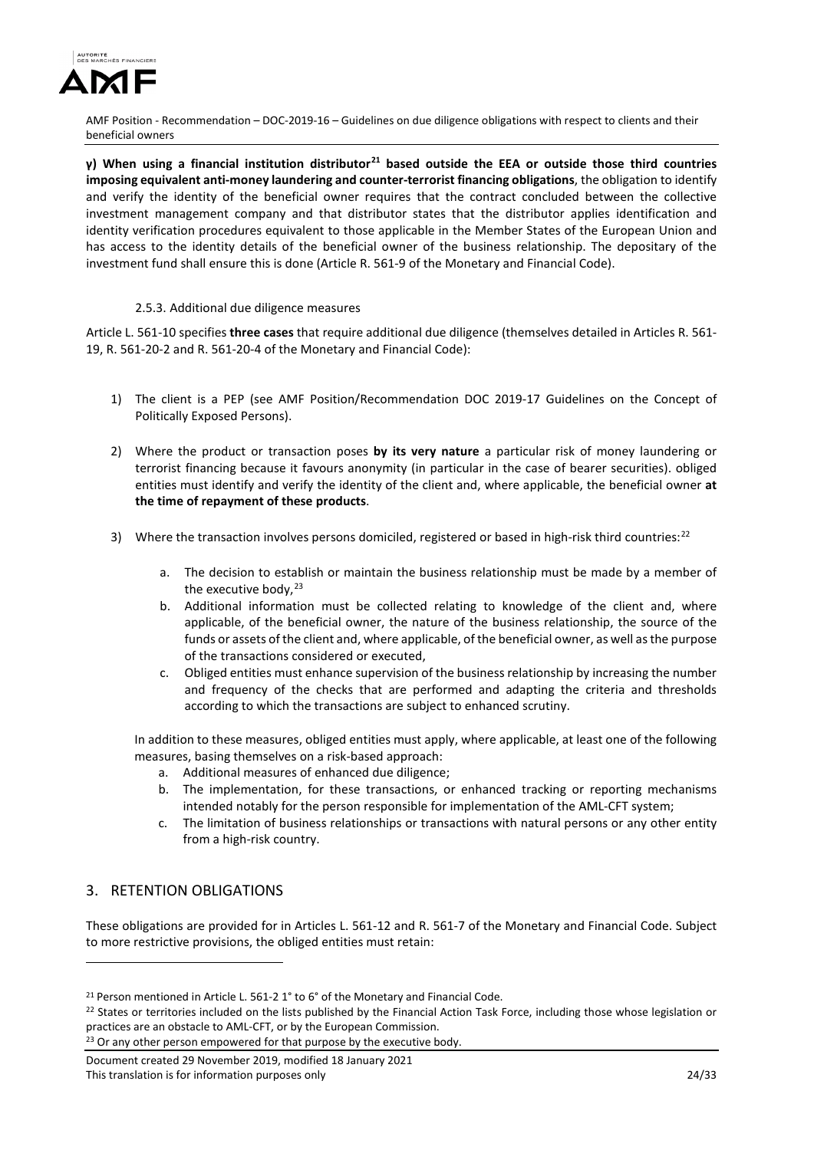

**γ) When using a financial institution distributor[21](#page-23-0) based outside the EEA or outside those third countries imposing equivalent anti-money laundering and counter-terrorist financing obligations**, the obligation to identify and verify the identity of the beneficial owner requires that the contract concluded between the collective investment management company and that distributor states that the distributor applies identification and identity verification procedures equivalent to those applicable in the Member States of the European Union and has access to the identity details of the beneficial owner of the business relationship. The depositary of the investment fund shall ensure this is done (Article R. 561-9 of the Monetary and Financial Code).

# 2.5.3. Additional due diligence measures

Article L. 561-10 specifies **three cases** that require additional due diligence (themselves detailed in Articles R. 561- 19, R. 561-20-2 and R. 561-20-4 of the Monetary and Financial Code):

- 1) The client is a PEP (see AMF Position/Recommendation DOC 2019-17 Guidelines on the Concept of Politically Exposed Persons).
- 2) Where the product or transaction poses **by its very nature** a particular risk of money laundering or terrorist financing because it favours anonymity (in particular in the case of bearer securities). obliged entities must identify and verify the identity of the client and, where applicable, the beneficial owner **at the time of repayment of these products**.
- 3) Where the transaction involves persons domiciled, registered or based in high-risk third countries:[22](#page-23-1)
	- a. The decision to establish or maintain the business relationship must be made by a member of the executive body, $23$
	- b. Additional information must be collected relating to knowledge of the client and, where applicable, of the beneficial owner, the nature of the business relationship, the source of the funds or assets of the client and, where applicable, of the beneficial owner, as well as the purpose of the transactions considered or executed,
	- c. Obliged entities must enhance supervision of the business relationship by increasing the number and frequency of the checks that are performed and adapting the criteria and thresholds according to which the transactions are subject to enhanced scrutiny.

In addition to these measures, obliged entities must apply, where applicable, at least one of the following measures, basing themselves on a risk-based approach:

- a. Additional measures of enhanced due diligence;
- b. The implementation, for these transactions, or enhanced tracking or reporting mechanisms intended notably for the person responsible for implementation of the AML-CFT system;
- c. The limitation of business relationships or transactions with natural persons or any other entity from a high-risk country.

# 3. RETENTION OBLIGATIONS

<u>.</u>

These obligations are provided for in Articles L. 561-12 and R. 561-7 of the Monetary and Financial Code. Subject to more restrictive provisions, the obliged entities must retain:

<span id="page-23-2"></span><sup>23</sup> Or any other person empowered for that purpose by the executive body.

<span id="page-23-0"></span><sup>21</sup> Person mentioned in Article L. 561-2 1° to 6° of the Monetary and Financial Code.

<span id="page-23-1"></span><sup>&</sup>lt;sup>22</sup> States or territories included on the lists published by the Financial Action Task Force, including those whose legislation or practices are an obstacle to AML-CFT, or by the European Commission.

Document created 29 November 2019, modified 18 January 2021 This translation is for information purposes only 24/33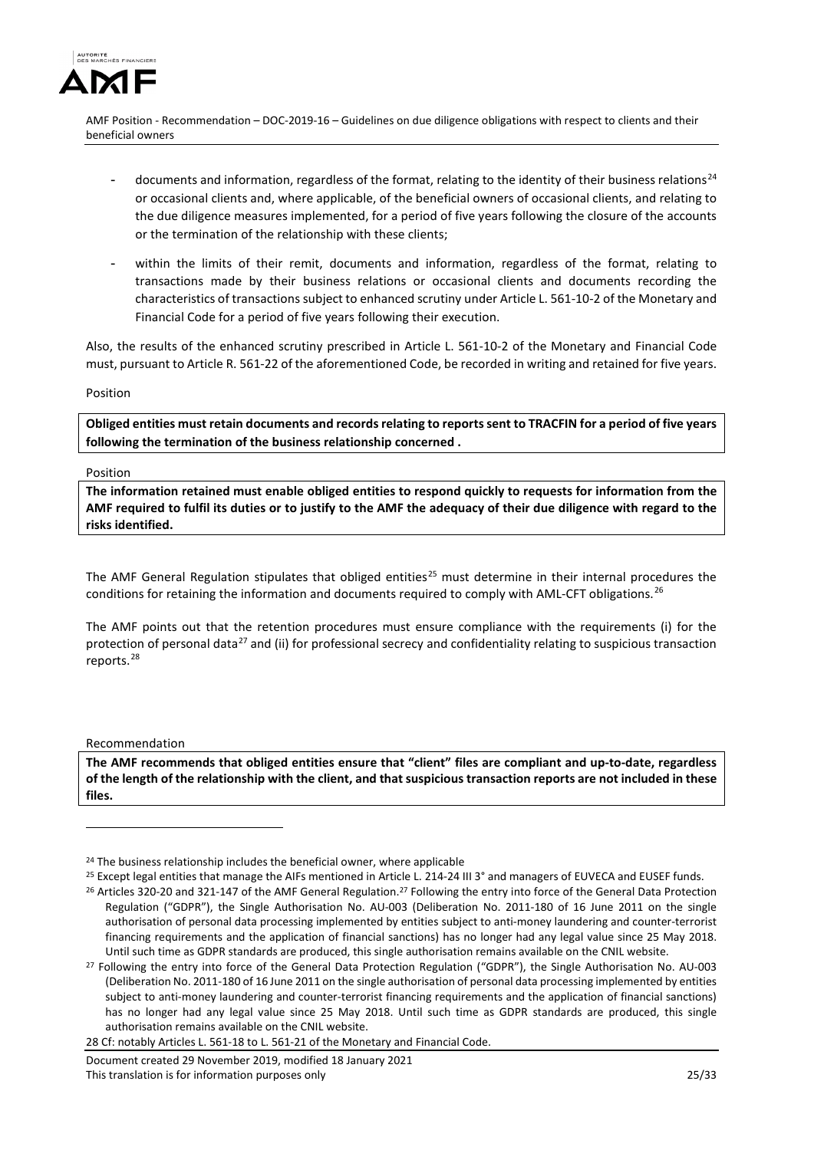

- documents and information, regardless of the format, relating to the identity of their business relations<sup>[24](#page-24-0)</sup> or occasional clients and, where applicable, of the beneficial owners of occasional clients, and relating to the due diligence measures implemented, for a period of five years following the closure of the accounts or the termination of the relationship with these clients;
- within the limits of their remit, documents and information, regardless of the format, relating to transactions made by their business relations or occasional clients and documents recording the characteristics of transactions subject to enhanced scrutiny under Article L. 561-10-2 of the Monetary and Financial Code for a period of five years following their execution.

Also, the results of the enhanced scrutiny prescribed in Article L. 561-10-2 of the Monetary and Financial Code must, pursuant to Article R. 561-22 of the aforementioned Code, be recorded in writing and retained for five years.

#### Position

**Obliged entities must retain documents and records relating to reports sent to TRACFIN for a period of five years following the termination of the business relationship concerned .**

#### Position

**The information retained must enable obliged entities to respond quickly to requests for information from the AMF required to fulfil its duties or to justify to the AMF the adequacy of their due diligence with regard to the risks identified.** 

The AMF General Regulation stipulates that obliged entities<sup>[25](#page-24-1)</sup> must determine in their internal procedures the conditions for retaining the information and documents required to comply with AML-CFT obligations.<sup>[26](#page-24-2)</sup>

The AMF points out that the retention procedures must ensure compliance with the requirements (i) for the protection of personal data<sup>[27](#page-24-3)</sup> and (ii) for professional secrecy and confidentiality relating to suspicious transaction reports.[28](#page-24-4)

#### Recommendation

-

**The AMF recommends that obliged entities ensure that "client" files are compliant and up-to-date, regardless of the length of the relationship with the client, and that suspicious transaction reports are not included in these files.** 

<sup>&</sup>lt;sup>24</sup> The business relationship includes the beneficial owner, where applicable

<sup>25</sup> Except legal entities that manage the AIFs mentioned in Article L. 214-24 III 3° and managers of EUVECA and EUSEF funds.

<span id="page-24-0"></span><sup>&</sup>lt;sup>26</sup> Articles 320-20 and 321-147 of the AMF General Regulation.<sup>27</sup> Following the entry into force of the General Data Protection Regulation ("GDPR"), the Single Authorisation No. AU-003 (Deliberation No. 2011-180 of 16 June 2011 on the single authorisation of personal data processing implemented by entities subject to anti-money laundering and counter-terrorist financing requirements and the application of financial sanctions) has no longer had any legal value since 25 May 2018. Until such time as GDPR standards are produced, this single authorisation remains available on the CNIL website.<br><sup>27</sup> Following the entry into force of the General Data Protection Regulation ("GDPR"), the Single Authorisat

<span id="page-24-3"></span><span id="page-24-2"></span><span id="page-24-1"></span><sup>(</sup>Deliberation No. 2011-180 of 16 June 2011 on the single authorisation of personal data processing implemented by entities subject to anti-money laundering and counter-terrorist financing requirements and the application of financial sanctions) has no longer had any legal value since 25 May 2018. Until such time as GDPR standards are produced, this single authorisation remains available on the CNIL website.

<span id="page-24-4"></span><sup>28</sup> Cf: notably Articles L. 561-18 to L. 561-21 of the Monetary and Financial Code.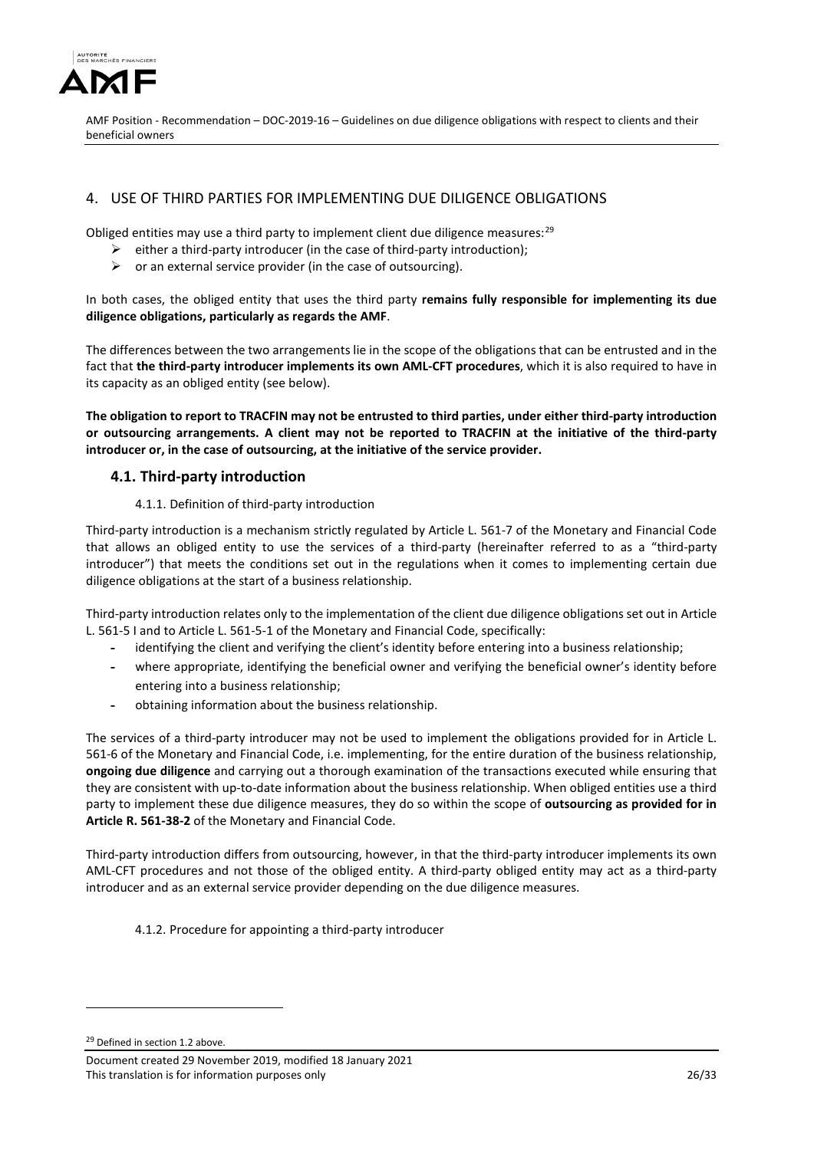

# 4. USE OF THIRD PARTIES FOR IMPLEMENTING DUE DILIGENCE OBLIGATIONS

Obliged entities may use a third party to implement client due diligence measures:<sup>[29](#page-25-0)</sup>

- $\triangleright$  either a third-party introducer (in the case of third-party introduction);
- $\triangleright$  or an external service provider (in the case of outsourcing).

In both cases, the obliged entity that uses the third party **remains fully responsible for implementing its due diligence obligations, particularly as regards the AMF**.

The differences between the two arrangements lie in the scope of the obligations that can be entrusted and in the fact that **the third-party introducer implements its own AML-CFT procedures**, which it is also required to have in its capacity as an obliged entity (see below).

**The obligation to report to TRACFIN may not be entrusted to third parties, under either third-party introduction or outsourcing arrangements. A client may not be reported to TRACFIN at the initiative of the third-party introducer or, in the case of outsourcing, at the initiative of the service provider.**

# **4.1. Third-party introduction**

#### 4.1.1. Definition of third-party introduction

Third-party introduction is a mechanism strictly regulated by Article L. 561-7 of the Monetary and Financial Code that allows an obliged entity to use the services of a third-party (hereinafter referred to as a "third-party introducer") that meets the conditions set out in the regulations when it comes to implementing certain due diligence obligations at the start of a business relationship.

Third-party introduction relates only to the implementation of the client due diligence obligations set out in Article L. 561-5 I and to Article L. 561-5-1 of the Monetary and Financial Code, specifically:

- **-** identifying the client and verifying the client's identity before entering into a business relationship;
- **-** where appropriate, identifying the beneficial owner and verifying the beneficial owner's identity before entering into a business relationship;
- **-** obtaining information about the business relationship.

The services of a third-party introducer may not be used to implement the obligations provided for in Article L. 561-6 of the Monetary and Financial Code, i.e. implementing, for the entire duration of the business relationship, **ongoing due diligence** and carrying out a thorough examination of the transactions executed while ensuring that they are consistent with up-to-date information about the business relationship. When obliged entities use a third party to implement these due diligence measures, they do so within the scope of **outsourcing as provided for in Article R. 561-38-2** of the Monetary and Financial Code.

Third-party introduction differs from outsourcing, however, in that the third-party introducer implements its own AML-CFT procedures and not those of the obliged entity. A third-party obliged entity may act as a third-party introducer and as an external service provider depending on the due diligence measures.

4.1.2. Procedure for appointing a third-party introducer

<span id="page-25-0"></span><sup>29</sup> Defined in section 1.2 above.

<u>.</u>

Document created 29 November 2019, modified 18 January 2021 This translation is for information purposes only 26/33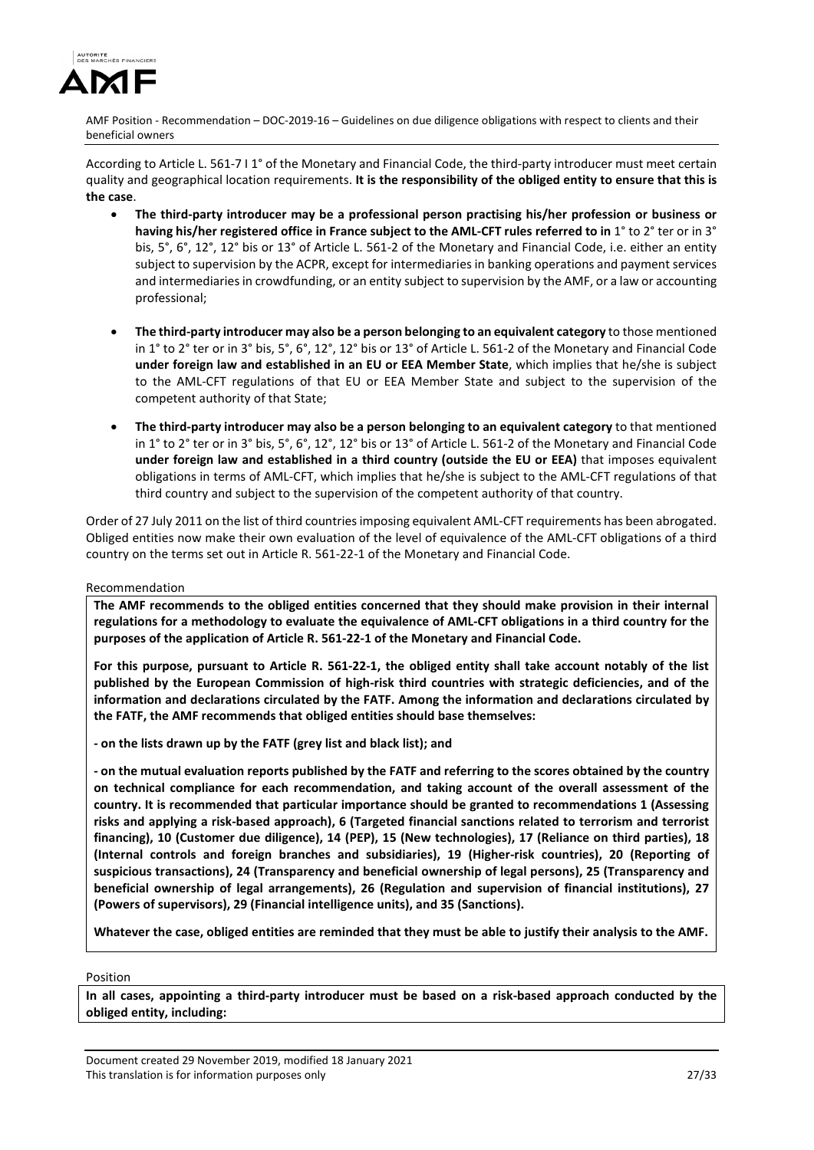

According to Article L. 561-7 I 1° of the Monetary and Financial Code, the third-party introducer must meet certain quality and geographical location requirements. **It is the responsibility of the obliged entity to ensure that this is the case**.

- **The third-party introducer may be a professional person practising his/her profession or business or having his/her registered office in France subject to the AML-CFT rules referred to in** 1° to 2° ter or in 3° bis, 5°, 6°, 12°, 12° bis or 13° of Article L. 561-2 of the Monetary and Financial Code, i.e. either an entity subject to supervision by the ACPR, except for intermediaries in banking operations and payment services and intermediaries in crowdfunding, or an entity subject to supervision by the AMF, or a law or accounting professional;
- **The third-party introducer may also be a person belonging to an equivalent category** to those mentioned in 1° to 2° ter or in 3° bis, 5°, 6°, 12°, 12° bis or 13° of Article L. 561-2 of the Monetary and Financial Code **under foreign law and established in an EU or EEA Member State**, which implies that he/she is subject to the AML-CFT regulations of that EU or EEA Member State and subject to the supervision of the competent authority of that State;
- **The third-party introducer may also be a person belonging to an equivalent category** to that mentioned in 1° to 2° ter or in 3° bis, 5°, 6°, 12°, 12° bis or 13° of Article L. 561-2 of the Monetary and Financial Code **under foreign law and established in a third country (outside the EU or EEA)** that imposes equivalent obligations in terms of AML-CFT, which implies that he/she is subject to the AML-CFT regulations of that third country and subject to the supervision of the competent authority of that country.

Order of 27 July 2011 on the list of third countries imposing equivalent AML-CFT requirements has been abrogated. Obliged entities now make their own evaluation of the level of equivalence of the AML-CFT obligations of a third country on the terms set out in Article R. 561-22-1 of the Monetary and Financial Code.

## Recommendation

**The AMF recommends to the obliged entities concerned that they should make provision in their internal regulations for a methodology to evaluate the equivalence of AML-CFT obligations in a third country for the purposes of the application of Article R. 561-22-1 of the Monetary and Financial Code.**

**For this purpose, pursuant to Article R. 561-22-1, the obliged entity shall take account notably of the list published by the European Commission of high-risk third countries with strategic deficiencies, and of the information and declarations circulated by the FATF. Among the information and declarations circulated by the FATF, the AMF recommends that obliged entities should base themselves:**

**- on the lists drawn up by the FATF (grey list and black list); and**

**- on the mutual evaluation reports published by the FATF and referring to the scores obtained by the country on technical compliance for each recommendation, and taking account of the overall assessment of the country. It is recommended that particular importance should be granted to recommendations 1 (Assessing risks and applying a risk-based approach), 6 (Targeted financial sanctions related to terrorism and terrorist financing), 10 (Customer due diligence), 14 (PEP), 15 (New technologies), 17 (Reliance on third parties), 18 (Internal controls and foreign branches and subsidiaries), 19 (Higher-risk countries), 20 (Reporting of suspicious transactions), 24 (Transparency and beneficial ownership of legal persons), 25 (Transparency and beneficial ownership of legal arrangements), 26 (Regulation and supervision of financial institutions), 27 (Powers of supervisors), 29 (Financial intelligence units), and 35 (Sanctions).**

**Whatever the case, obliged entities are reminded that they must be able to justify their analysis to the AMF.**

## Position

**In all cases, appointing a third-party introducer must be based on a risk-based approach conducted by the obliged entity, including:** 

Document created 29 November 2019, modified 18 January 2021 This translation is for information purposes only 27/33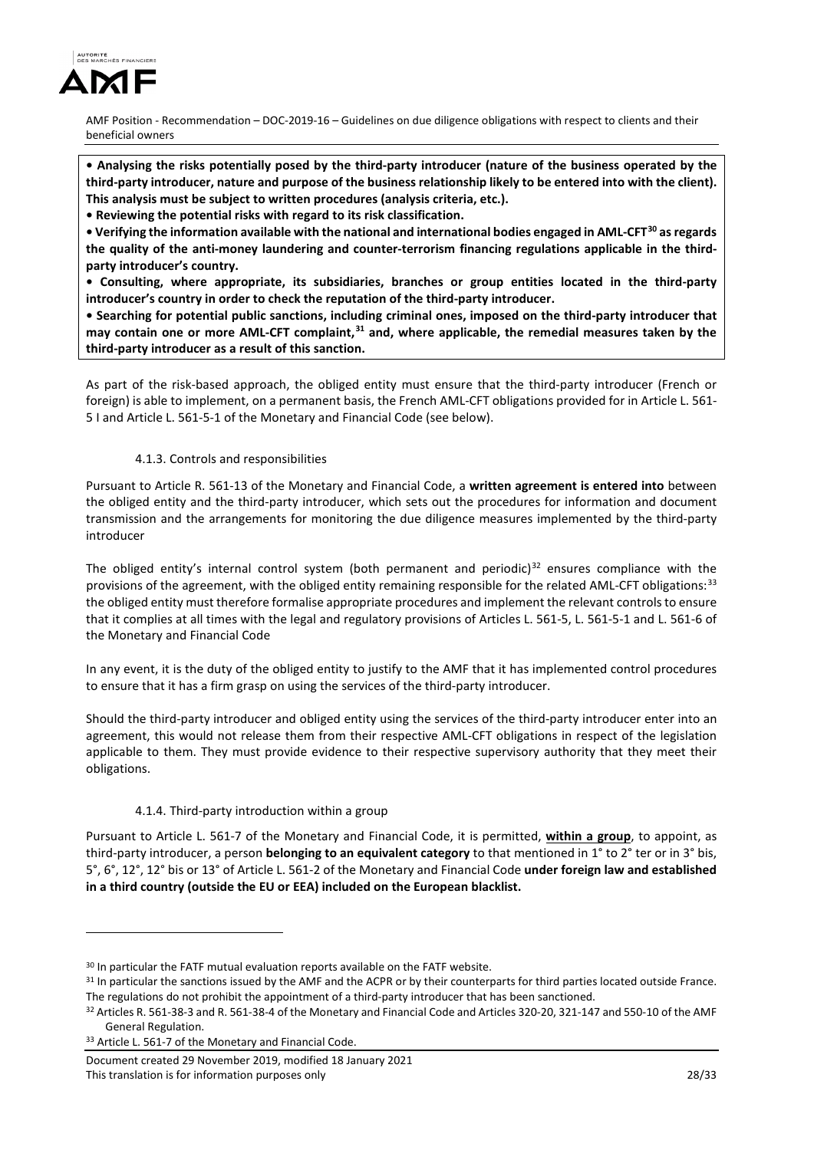

**• Analysing the risks potentially posed by the third-party introducer (nature of the business operated by the third-party introducer, nature and purpose of the business relationship likely to be entered into with the client). This analysis must be subject to written procedures (analysis criteria, etc.).**

**• Reviewing the potential risks with regard to its risk classification.**

**• Verifying the information available with the national and international bodies engaged in AML-CFT[30](#page-27-0) as regards the quality of the anti-money laundering and counter-terrorism financing regulations applicable in the thirdparty introducer's country.**

**• Consulting, where appropriate, its subsidiaries, branches or group entities located in the third-party introducer's country in order to check the reputation of the third-party introducer.**

**• Searching for potential public sanctions, including criminal ones, imposed on the third-party introducer that may contain one or more AML-CFT complaint,[31](#page-27-1) and, where applicable, the remedial measures taken by the third-party introducer as a result of this sanction.**

As part of the risk-based approach, the obliged entity must ensure that the third-party introducer (French or foreign) is able to implement, on a permanent basis, the French AML-CFT obligations provided for in Article L. 561- 5 I and Article L. 561-5-1 of the Monetary and Financial Code (see below).

# 4.1.3. Controls and responsibilities

Pursuant to Article R. 561-13 of the Monetary and Financial Code, a **written agreement is entered into** between the obliged entity and the third-party introducer, which sets out the procedures for information and document transmission and the arrangements for monitoring the due diligence measures implemented by the third-party introducer

The obliged entity's internal control system (both permanent and periodic)<sup>[32](#page-27-2)</sup> ensures compliance with the provisions of the agreement, with the obliged entity remaining responsible for the related AML-CFT obligations:<sup>[33](#page-27-3)</sup> the obliged entity must therefore formalise appropriate procedures and implement the relevant controls to ensure that it complies at all times with the legal and regulatory provisions of Articles L. 561-5, L. 561-5-1 and L. 561-6 of the Monetary and Financial Code

In any event, it is the duty of the obliged entity to justify to the AMF that it has implemented control procedures to ensure that it has a firm grasp on using the services of the third-party introducer.

Should the third-party introducer and obliged entity using the services of the third-party introducer enter into an agreement, this would not release them from their respective AML-CFT obligations in respect of the legislation applicable to them. They must provide evidence to their respective supervisory authority that they meet their obligations.

## 4.1.4. Third-party introduction within a group

Pursuant to Article L. 561-7 of the Monetary and Financial Code, it is permitted, **within a group**, to appoint, as third-party introducer, a person **belonging to an equivalent category** to that mentioned in 1° to 2° ter or in 3° bis, 5°, 6°, 12°, 12° bis or 13° of Article L. 561-2 of the Monetary and Financial Code **under foreign law and established in a third country (outside the EU or EEA) included on the European blacklist.**

-

<span id="page-27-0"></span><sup>&</sup>lt;sup>30</sup> In particular the FATF mutual evaluation reports available on the FATF website.

<span id="page-27-1"></span><sup>&</sup>lt;sup>31</sup> In particular the sanctions issued by the AMF and the ACPR or by their counterparts for third parties located outside France. The regulations do not prohibit the appointment of a third-party introducer that has been sanctioned.<br><sup>32</sup> Articles R. 561-38-3 and R. 561-38-4 of the Monetary and Financial Code and Articles 320-20, 321-147 and 550-10 of

<span id="page-27-2"></span>General Regulation.

<span id="page-27-3"></span><sup>33</sup> Article L. 561-7 of the Monetary and Financial Code.

Document created 29 November 2019, modified 18 January 2021 This translation is for information purposes only 28/33 and 28/33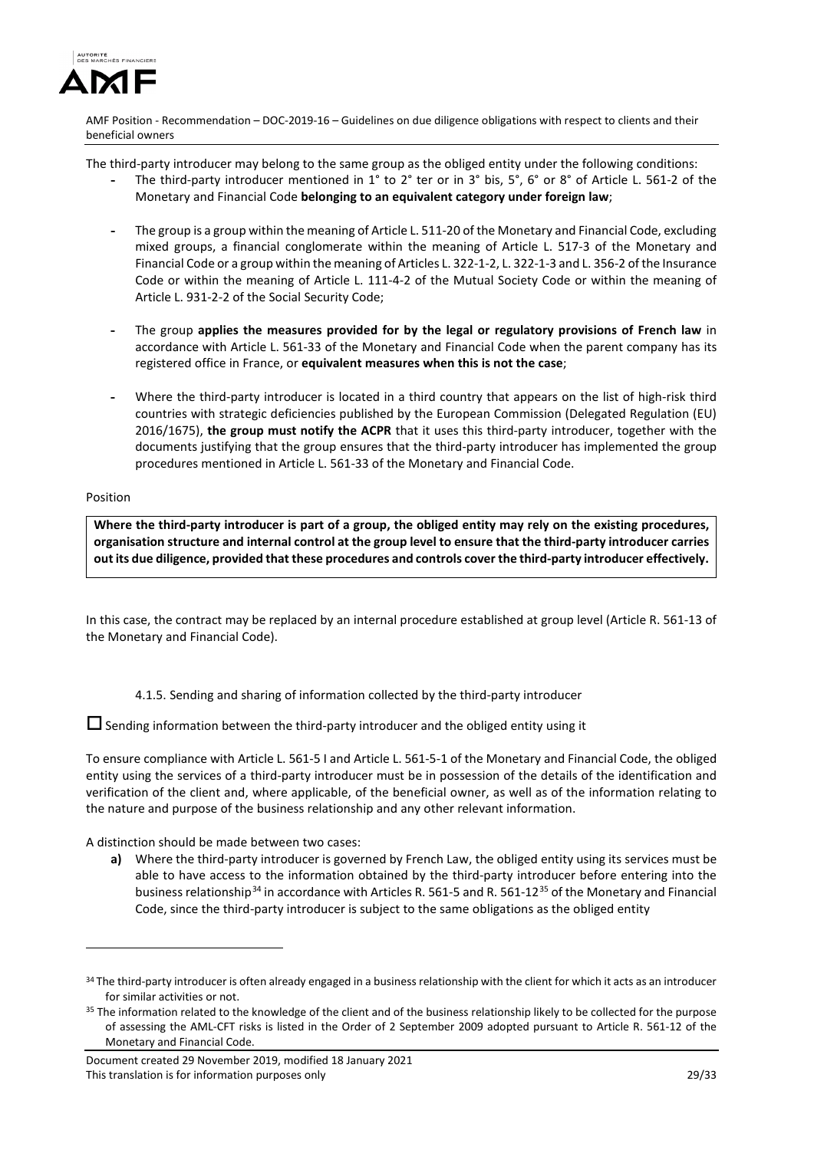

The third-party introducer may belong to the same group as the obliged entity under the following conditions:

- **-** The third-party introducer mentioned in 1° to 2° ter or in 3° bis, 5°, 6° or 8° of Article L. 561-2 of the Monetary and Financial Code **belonging to an equivalent category under foreign law**;
- **-** The group is a group within the meaning of Articl[e L. 511-20](https://www.legifrance.gouv.fr/affichCodeArticle.do?cidTexte=LEGITEXT000006072026&idArticle=LEGIARTI000006654332&dateTexte=&categorieLien=cid) of the Monetary and Financial Code, excluding mixed groups, a financial conglomerate within the meaning of Article L. 517-3 of the Monetary and Financial Code or a group within the meaning of Article[s L. 322-1-2, L. 322-1-3 a](https://www.legifrance.gouv.fr/affichCodeArticle.do?cidTexte=LEGITEXT000006073984&idArticle=LEGIARTI000006797395&dateTexte=&categorieLien=cid)n[d L. 356-2 o](https://www.legifrance.gouv.fr/affichCodeArticle.do?cidTexte=LEGITEXT000006073984&idArticle=LEGIARTI000030435107&dateTexte=&categorieLien=cid)f the Insurance Code or within the meaning of Article L. 111-4-2 of the Mutual Society Code or within the meaning of Articl[e L. 931-2-2 o](https://www.legifrance.gouv.fr/affichCodeArticle.do?cidTexte=LEGITEXT000006073189&idArticle=LEGIARTI000030434016&dateTexte=&categorieLien=cid)f the Social Security Code;
- **-** The group **applies the measures provided for by the legal or regulatory provisions of French law** in accordance with Article L. 561-33 of the Monetary and Financial Code when the parent company has its registered office in France, or **equivalent measures when this is not the case**;
- **-** Where the third-party introducer is located in a third country that appears on the list of high-risk third countries with strategic deficiencies published by the European Commission (Delegated Regulation (EU) 2016/1675), **the group must notify the ACPR** that it uses this third-party introducer, together with the documents justifying that the group ensures that the third-party introducer has implemented the group procedures mentioned in Article L. 561-33 of the Monetary and Financial Code.

#### Position

<u>.</u>

**Where the third-party introducer is part of a group, the obliged entity may rely on the existing procedures, organisation structure and internal control at the group level to ensure that the third-party introducer carries out its due diligence, provided that these procedures and controls cover the third-party introducer effectively.** 

In this case, the contract may be replaced by an internal procedure established at group level (Article R. 561-13 of the Monetary and Financial Code).

4.1.5. Sending and sharing of information collected by the third-party introducer

 $\square$  Sending information between the third-party introducer and the obliged entity using it

To ensure compliance with Article L. 561-5 I and Article L. 561-5-1 of the Monetary and Financial Code, the obliged entity using the services of a third-party introducer must be in possession of the details of the identification and verification of the client and, where applicable, of the beneficial owner, as well as of the information relating to the nature and purpose of the business relationship and any other relevant information.

A distinction should be made between two cases:

**a)** Where the third-party introducer is governed by French Law, the obliged entity using its services must be able to have access to the information obtained by the third-party introducer before entering into the business relationship<sup>[34](#page-28-0)</sup> in accordance with Articles R. 561-5 and R. 561-12<sup>[35](#page-28-1)</sup> of the Monetary and Financial Code, since the third-party introducer is subject to the same obligations as the obliged entity

<span id="page-28-0"></span><sup>&</sup>lt;sup>34</sup> The third-party introducer is often already engaged in a business relationship with the client for which it acts as an introducer for similar activities or not.

<span id="page-28-1"></span><sup>&</sup>lt;sup>35</sup> The information related to the knowledge of the client and of the business relationship likely to be collected for the purpose of assessing the AML-CFT risks is listed in the Order of 2 September 2009 adopted pursuant to Article R. 561-12 of the Monetary and Financial Code.

Document created 29 November 2019, modified 18 January 2021 This translation is for information purposes only 29/33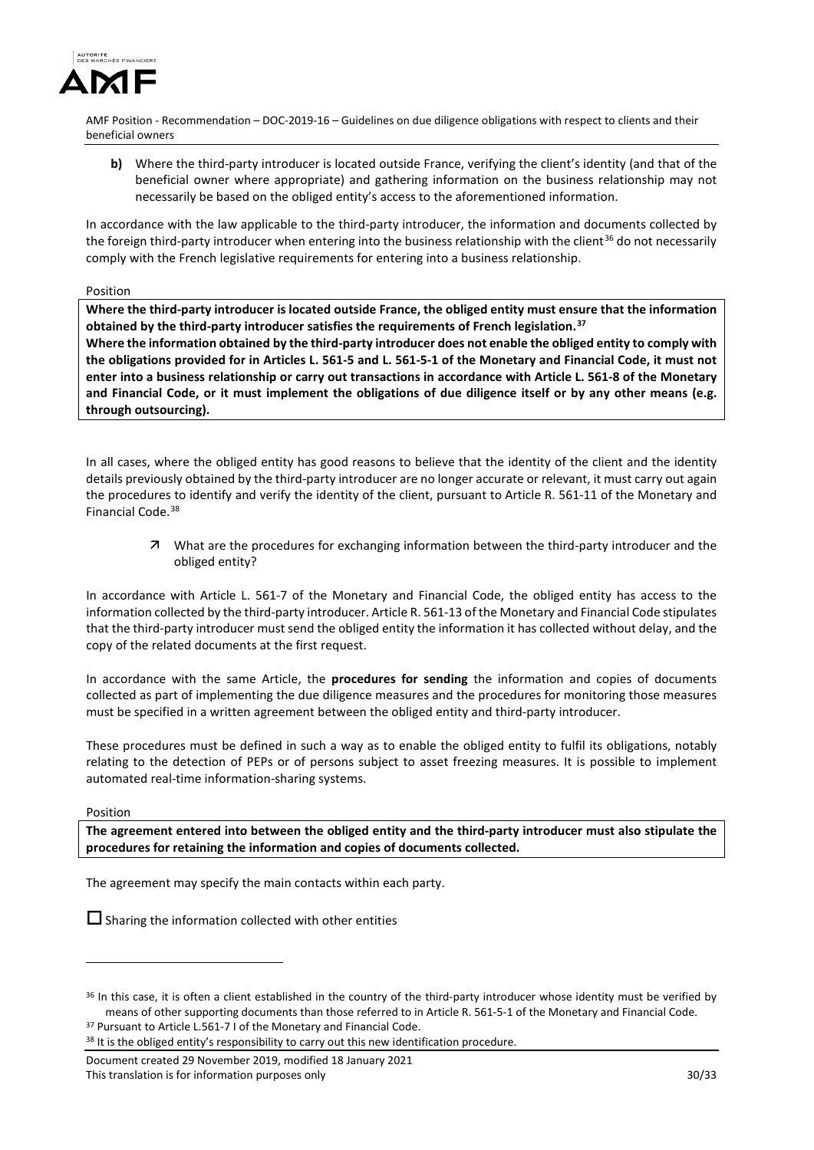

**b)** Where the third-party introducer is located outside France, verifying the client's identity (and that of the beneficial owner where appropriate) and gathering information on the business relationship may not necessarily be based on the obliged entity's access to the aforementioned information.

In accordance with the law applicable to the third-party introducer, the information and documents collected by the foreign third-party introducer when entering into the business relationship with the client<sup>[36](#page-29-0)</sup> do not necessarily comply with the French legislative requirements for entering into a business relationship.

Position

**Where the third-party introducer is located outside France, the obliged entity must ensure that the information obtained by the third-party introducer satisfies the requirements of French legislation.[37](#page-29-1)**

**Where the information obtained by the third-party introducer does not enable the obliged entity to comply with the obligations provided for in Articles L. 561-5 and L. 561-5-1 of the Monetary and Financial Code, it must not enter into a business relationship or carry out transactions in accordance with Article L. 561-8 of the Monetary and Financial Code, or it must implement the obligations of due diligence itself or by any other means (e.g. through outsourcing).** 

In all cases, where the obliged entity has good reasons to believe that the identity of the client and the identity details previously obtained by the third-party introducer are no longer accurate or relevant, it must carry out again the procedures to identify and verify the identity of the client, pursuant to Article R. 561-11 of the Monetary and Financial Code.<sup>[38](#page-29-2)</sup>

 $\overline{z}$  What are the procedures for exchanging information between the third-party introducer and the obliged entity?

In accordance with Article L. 561-7 of the Monetary and Financial Code, the obliged entity has access to the information collected by the third-party introducer. Article R. 561-13 of the Monetary and Financial Code stipulates that the third-party introducer must send the obliged entity the information it has collected without delay, and the copy of the related documents at the first request.

In accordance with the same Article, the **procedures for sending** the information and copies of documents collected as part of implementing the due diligence measures and the procedures for monitoring those measures must be specified in a written agreement between the obliged entity and third-party introducer.

These procedures must be defined in such a way as to enable the obliged entity to fulfil its obligations, notably relating to the detection of PEPs or of persons subject to asset freezing measures. It is possible to implement automated real-time information-sharing systems.

Position

<u>.</u>

**The agreement entered into between the obliged entity and the third-party introducer must also stipulate the procedures for retaining the information and copies of documents collected.**

The agreement may specify the main contacts within each party.

 $\square$  Sharing the information collected with other entities

Document created 29 November 2019, modified 18 January 2021 This translation is for information purposes only 30/33 30/33

<span id="page-29-1"></span><span id="page-29-0"></span><sup>&</sup>lt;sup>36</sup> In this case, it is often a client established in the country of the third-party introducer whose identity must be verified by means of other supporting documents than those referred to in Article R. 561-5-1 of the Monetary and Financial Code. <sup>37</sup> Pursuant to Article L.561-7 I of the Monetary and Financial Code.

<span id="page-29-3"></span><span id="page-29-2"></span><sup>&</sup>lt;sup>38</sup> It is the obliged entity's responsibility to carry out this new identification procedure.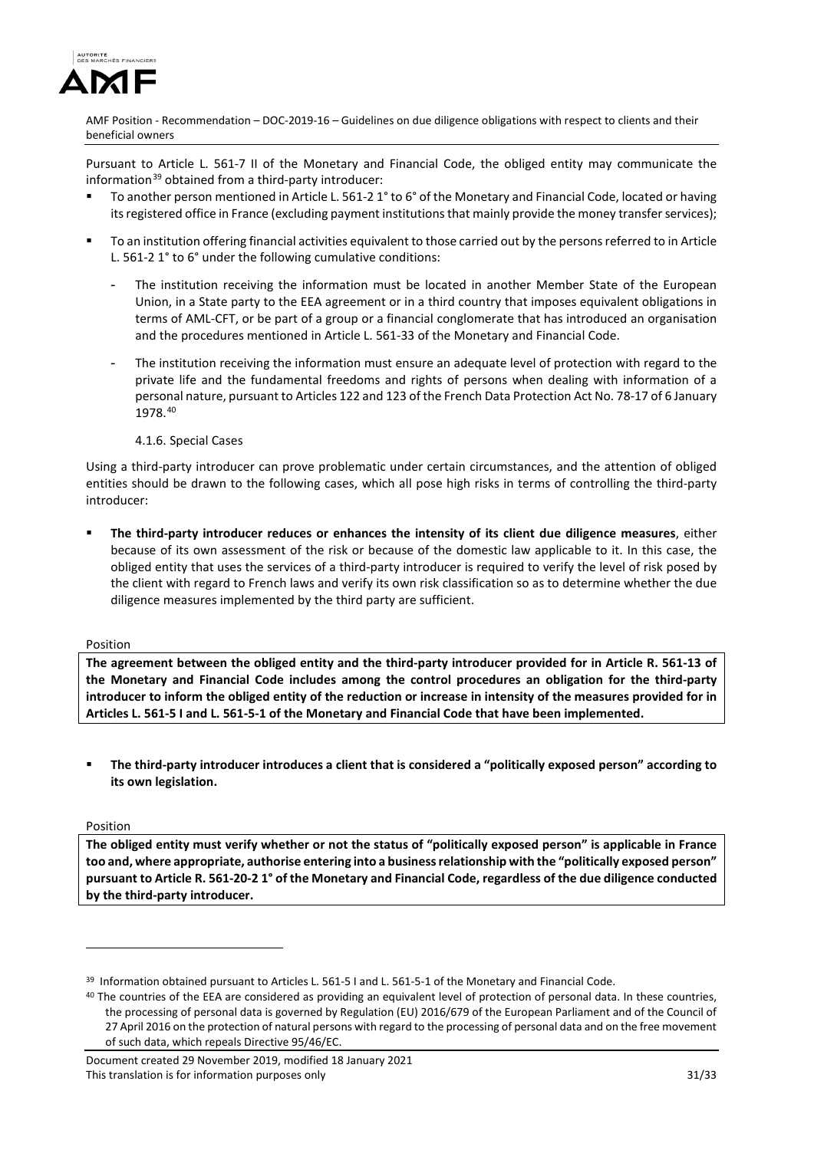

Pursuant to Article L. 561-7 II of the Monetary and Financial Code, the obliged entity may communicate the information<sup>[39](#page-29-3)</sup> obtained from a third-party introducer:

- To another person mentioned in Article L. 561-2 1° to 6° of the Monetary and Financial Code, located or having its registered office in France (excluding payment institutions that mainly provide the money transfer services);
- To an institution offering financial activities equivalent to those carried out by the persons referred to in Article L. 561-2 1° to 6° under the following cumulative conditions:
	- The institution receiving the information must be located in another Member State of the European Union, in a State party to the EEA agreement or in a third country that imposes equivalent obligations in terms of AML-CFT, or be part of a group or a financial conglomerate that has introduced an organisation and the procedures mentioned in Article L. 561-33 of the Monetary and Financial Code.
	- The institution receiving the information must ensure an adequate level of protection with regard to the private life and the fundamental freedoms and rights of persons when dealing with information of a personal nature, pursuant to Articles 122 and 123 of the French Data Protection Act No. 78-17 of 6 January 1978.[40](#page-30-0)
		- 4.1.6. Special Cases

Using a third-party introducer can prove problematic under certain circumstances, and the attention of obliged entities should be drawn to the following cases, which all pose high risks in terms of controlling the third-party introducer:

 **The third-party introducer reduces or enhances the intensity of its client due diligence measures**, either because of its own assessment of the risk or because of the domestic law applicable to it. In this case, the obliged entity that uses the services of a third-party introducer is required to verify the level of risk posed by the client with regard to French laws and verify its own risk classification so as to determine whether the due diligence measures implemented by the third party are sufficient.

#### Position

**The agreement between the obliged entity and the third-party introducer provided for in Article R. 561-13 of the Monetary and Financial Code includes among the control procedures an obligation for the third-party introducer to inform the obliged entity of the reduction or increase in intensity of the measures provided for in Articles L. 561-5 I and L. 561-5-1 of the Monetary and Financial Code that have been implemented.** 

 **The third-party introducer introduces a client that is considered a "politically exposed person" according to its own legislation.**

## Position

<u>.</u>

**The obliged entity must verify whether or not the status of "politically exposed person" is applicable in France too and, where appropriate, authorise entering into a business relationship with the "politically exposed person" pursuant to Article R. 561-20-2 1° of the Monetary and Financial Code, regardless of the due diligence conducted by the third-party introducer.** 

<sup>&</sup>lt;sup>39</sup> Information obtained pursuant to Articles L. 561-5 I and L. 561-5-1 of the Monetary and Financial Code.

<span id="page-30-0"></span><sup>&</sup>lt;sup>40</sup> The countries of the EEA are considered as providing an equivalent level of protection of personal data. In these countries, the processing of personal data is governed by Regulation (EU) 2016/679 of the European Parliament and of the Council of 27 April 2016 on the protection of natural persons with regard to the processing of personal data and on the free movement of such data, which repeals Directive 95/46/EC.

Document created 29 November 2019, modified 18 January 2021 This translation is for information purposes only 31/33 33 33 33 33 33 33 33 34/33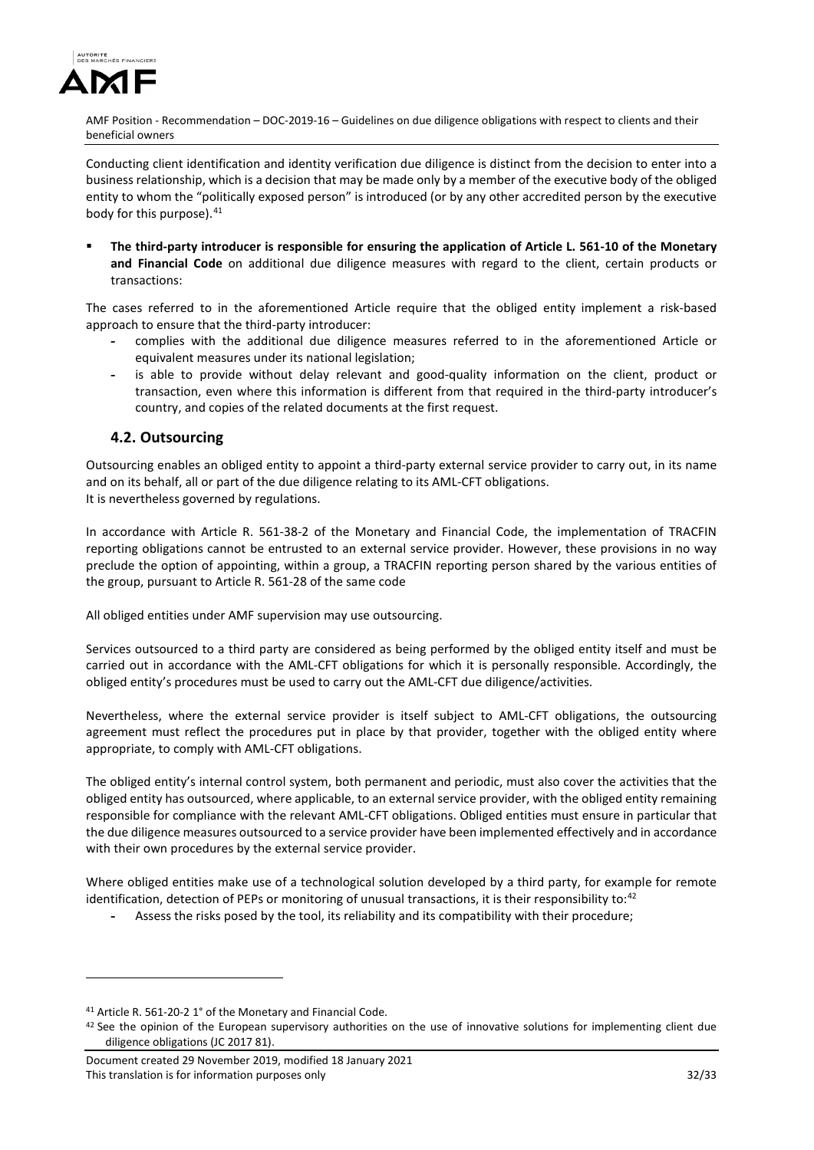

Conducting client identification and identity verification due diligence is distinct from the decision to enter into a business relationship, which is a decision that may be made only by a member of the executive body of the obliged entity to whom the "politically exposed person" is introduced (or by any other accredited person by the executive body for this purpose). <sup>[41](#page-31-0)</sup>

 **The third-party introducer is responsible for ensuring the application of Article L. 561-10 of the Monetary and Financial Code** on additional due diligence measures with regard to the client, certain products or transactions:

The cases referred to in the aforementioned Article require that the obliged entity implement a risk-based approach to ensure that the third-party introducer:

- **-** complies with the additional due diligence measures referred to in the aforementioned Article or equivalent measures under its national legislation;
- **-** is able to provide without delay relevant and good-quality information on the client, product or transaction, even where this information is different from that required in the third-party introducer's country, and copies of the related documents at the first request.

# **4.2. Outsourcing**

Outsourcing enables an obliged entity to appoint a third-party external service provider to carry out, in its name and on its behalf, all or part of the due diligence relating to its AML-CFT obligations. It is nevertheless governed by regulations.

In accordance with Article R. 561-38-2 of the Monetary and Financial Code, the implementation of TRACFIN reporting obligations cannot be entrusted to an external service provider. However, these provisions in no way preclude the option of appointing, within a group, a TRACFIN reporting person shared by the various entities of the group, pursuant to Article R. 561-28 of the same code

All obliged entities under AMF supervision may use outsourcing.

Services outsourced to a third party are considered as being performed by the obliged entity itself and must be carried out in accordance with the AML-CFT obligations for which it is personally responsible. Accordingly, the obliged entity's procedures must be used to carry out the AML-CFT due diligence/activities.

Nevertheless, where the external service provider is itself subject to AML-CFT obligations, the outsourcing agreement must reflect the procedures put in place by that provider, together with the obliged entity where appropriate, to comply with AML-CFT obligations.

The obliged entity's internal control system, both permanent and periodic, must also cover the activities that the obliged entity has outsourced, where applicable, to an external service provider, with the obliged entity remaining responsible for compliance with the relevant AML-CFT obligations. Obliged entities must ensure in particular that the due diligence measures outsourced to a service provider have been implemented effectively and in accordance with their own procedures by the external service provider.

Where obliged entities make use of a technological solution developed by a third party, for example for remote identification, detection of PEPs or monitoring of unusual transactions, it is their responsibility to:<sup>[42](#page-31-1)</sup>

**-** Assess the risks posed by the tool, its reliability and its compatibility with their procedure;

-

<span id="page-31-0"></span><sup>41</sup> Article R. 561-20-2 1° of the Monetary and Financial Code.

<span id="page-31-1"></span> $42$  See the opinion of the European supervisory authorities on the use of innovative solutions for implementing client due diligence obligations (JC 2017 81).

Document created 29 November 2019, modified 18 January 2021 This translation is for information purposes only 32/33 and 32/33